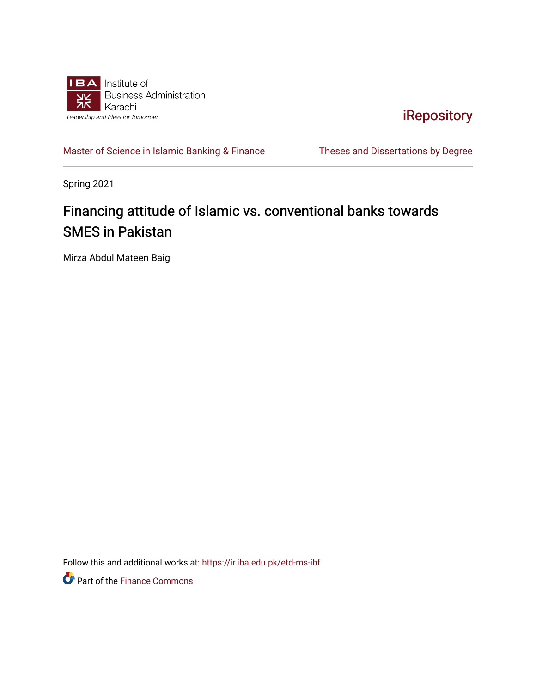

[iRepository](https://ir.iba.edu.pk/) 

[Master of Science in Islamic Banking & Finance](https://ir.iba.edu.pk/etd-ms-ibf) Theses and Dissertations by Degree

Spring 2021

## Financing attitude of Islamic vs. conventional banks towards SMES in Pakistan

Mirza Abdul Mateen Baig

Follow this and additional works at: [https://ir.iba.edu.pk/etd-ms-ibf](https://ir.iba.edu.pk/etd-ms-ibf?utm_source=ir.iba.edu.pk%2Fetd-ms-ibf%2F13&utm_medium=PDF&utm_campaign=PDFCoverPages)

Part of the [Finance Commons](http://network.bepress.com/hgg/discipline/345?utm_source=ir.iba.edu.pk%2Fetd-ms-ibf%2F13&utm_medium=PDF&utm_campaign=PDFCoverPages)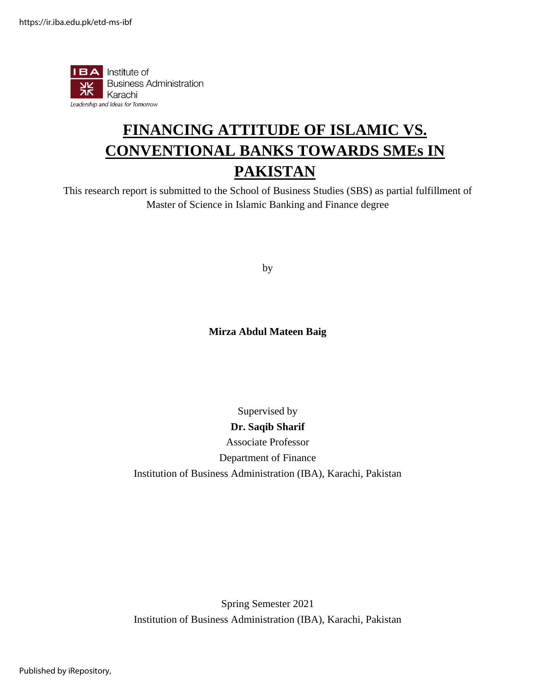

# **FINANCING ATTITUDE OF ISLAMIC VS. CONVENTIONAL BANKS TOWARDS SMEs IN PAKISTAN**

This research report is submitted to the School of Business Studies (SBS) as partial fulfillment of Master of Science in Islamic Banking and Finance degree

by

#### **Mirza Abdul Mateen Baig**

### Supervised by **Dr. Saqib Sharif** Associate Professor Department of Finance Institution of Business Administration (IBA), Karachi, Pakistan

Spring Semester 2021 Institution of Business Administration (IBA), Karachi, Pakistan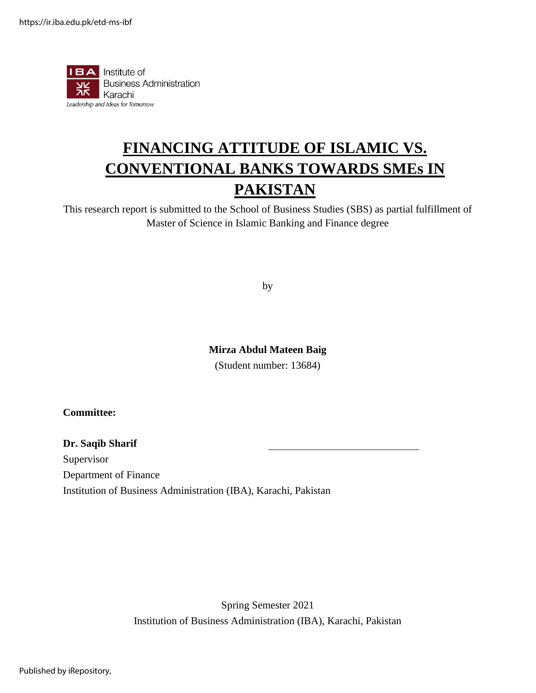

# **FINANCING ATTITUDE OF ISLAMIC VS. CONVENTIONAL BANKS TOWARDS SMEs IN PAKISTAN**

This research report is submitted to the School of Business Studies (SBS) as partial fulfillment of Master of Science in Islamic Banking and Finance degree

by

#### **Mirza Abdul Mateen Baig**

(Student number: 13684)

#### **Committee:**

#### **Dr. Saqib Sharif**

Supervisor

Department of Finance

Institution of Business Administration (IBA), Karachi, Pakistan

Spring Semester 2021 Institution of Business Administration (IBA), Karachi, Pakistan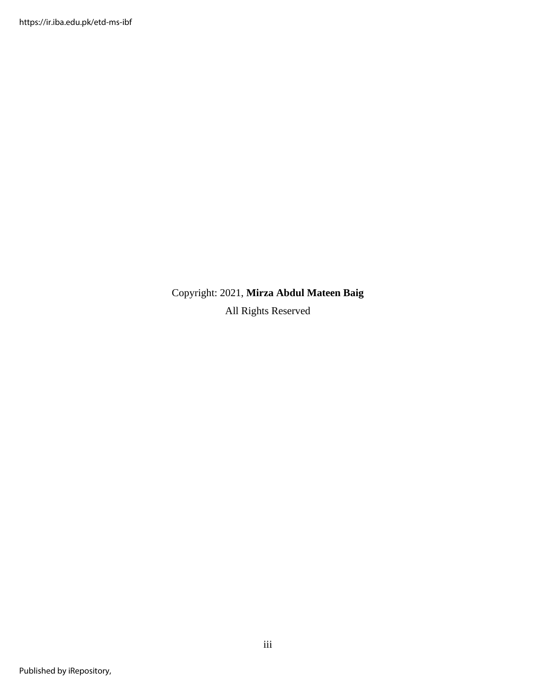#### Copyright: 2021, **Mirza Abdul Mateen Baig**

All Rights Reserved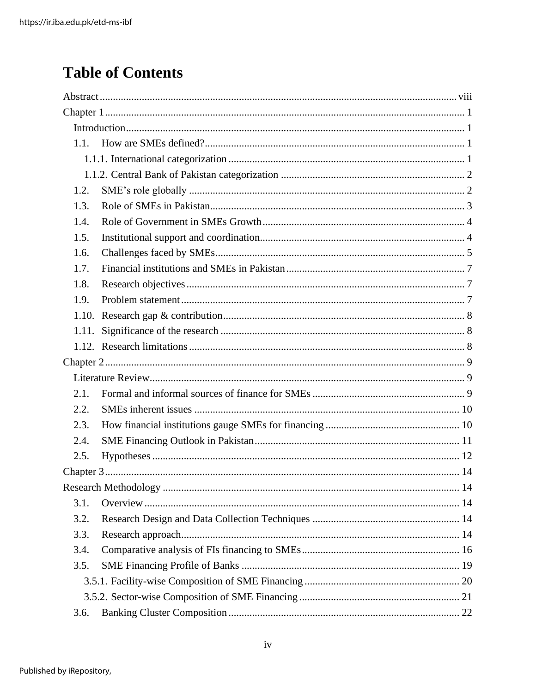# **Table of Contents**

| 1.1.  |  |
|-------|--|
|       |  |
|       |  |
| 1.2.  |  |
| 1.3.  |  |
| 1.4.  |  |
| 1.5.  |  |
| 1.6.  |  |
| 1.7.  |  |
| 1.8.  |  |
| 1.9.  |  |
| 1.10. |  |
| 1.11. |  |
|       |  |
|       |  |
|       |  |
| 2.1.  |  |
| 2.2.  |  |
| 2.3.  |  |
| 2.4.  |  |
| 2.5.  |  |
|       |  |
|       |  |
| 3.1.  |  |
| 3.2.  |  |
| 3.3.  |  |
| 3.4.  |  |
| 3.5.  |  |
|       |  |
|       |  |
| 3.6.  |  |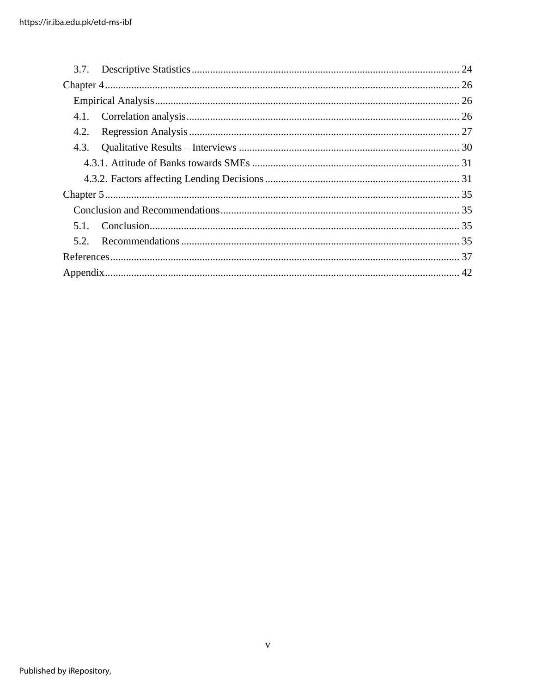| 4.2. |  |
|------|--|
| 4.3. |  |
|      |  |
|      |  |
|      |  |
|      |  |
| 5.1. |  |
|      |  |
|      |  |
|      |  |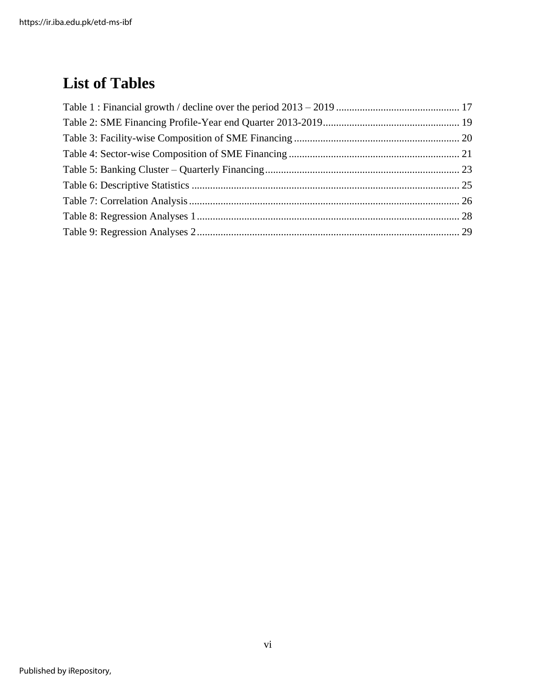# **List of Tables**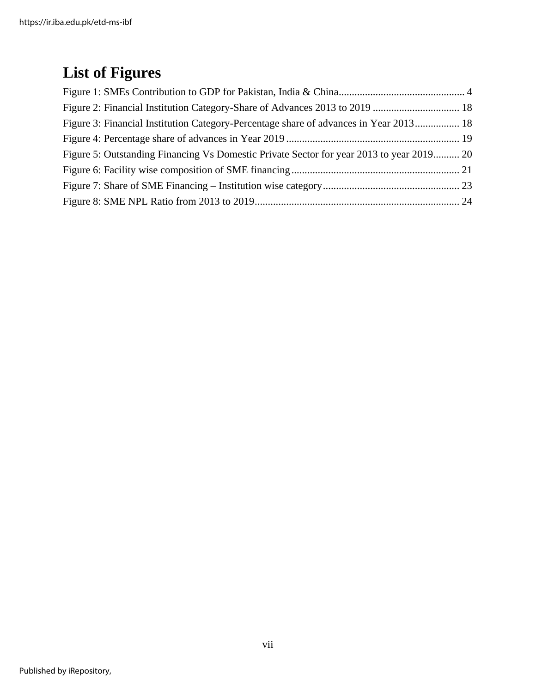# **List of Figures**

| Figure 3: Financial Institution Category-Percentage share of advances in Year 2013 18    |  |
|------------------------------------------------------------------------------------------|--|
|                                                                                          |  |
| Figure 5: Outstanding Financing Vs Domestic Private Sector for year 2013 to year 2019 20 |  |
|                                                                                          |  |
|                                                                                          |  |
|                                                                                          |  |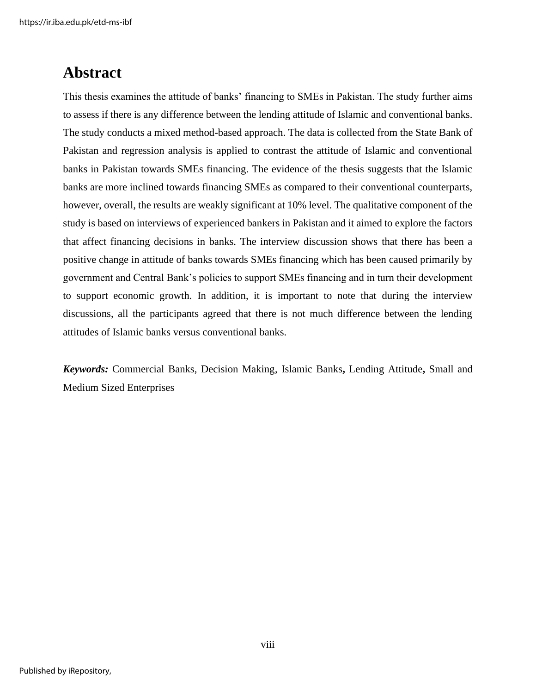https://ir.iba.edu.pk/etd-ms-ibf

### **Abstract**

This thesis examines the attitude of banks' financing to SMEs in Pakistan. The study further aims to assess if there is any difference between the lending attitude of Islamic and conventional banks. The study conducts a mixed method-based approach. The data is collected from the State Bank of Pakistan and regression analysis is applied to contrast the attitude of Islamic and conventional banks in Pakistan towards SMEs financing. The evidence of the thesis suggests that the Islamic banks are more inclined towards financing SMEs as compared to their conventional counterparts, however, overall, the results are weakly significant at 10% level. The qualitative component of the study is based on interviews of experienced bankers in Pakistan and it aimed to explore the factors that affect financing decisions in banks. The interview discussion shows that there has been a positive change in attitude of banks towards SMEs financing which has been caused primarily by government and Central Bank's policies to support SMEs financing and in turn their development to support economic growth. In addition, it is important to note that during the interview discussions, all the participants agreed that there is not much difference between the lending attitudes of Islamic banks versus conventional banks.

*Keywords:* Commercial Banks, Decision Making, Islamic Banks**,** Lending Attitude**,** Small and Medium Sized Enterprises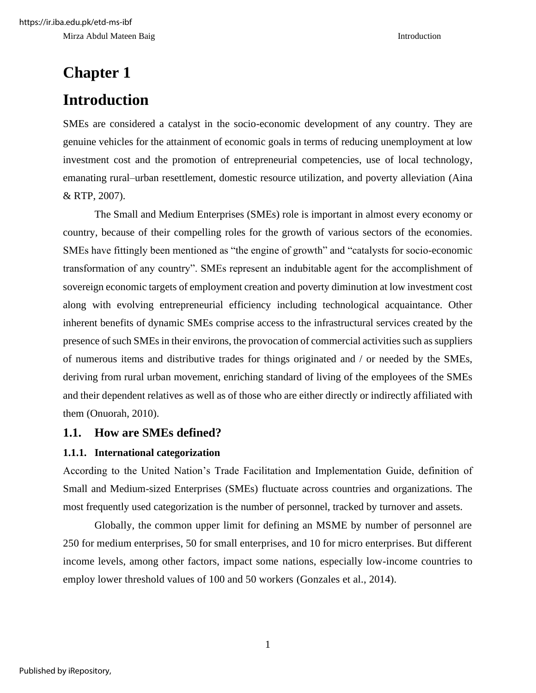# **Chapter 1 Introduction**

SMEs are considered a catalyst in the socio-economic development of any country. They are genuine vehicles for the attainment of economic goals in terms of reducing unemployment at low investment cost and the promotion of entrepreneurial competencies, use of local technology, emanating rural–urban resettlement, domestic resource utilization, and poverty alleviation (Aina & RTP, 2007).

The Small and Medium Enterprises (SMEs) role is important in almost every economy or country, because of their compelling roles for the growth of various sectors of the economies. SMEs have fittingly been mentioned as "the engine of growth" and "catalysts for socio-economic transformation of any country". SMEs represent an indubitable agent for the accomplishment of sovereign economic targets of employment creation and poverty diminution at low investment cost along with evolving entrepreneurial efficiency including technological acquaintance. Other inherent benefits of dynamic SMEs comprise access to the infrastructural services created by the presence of such SMEs in their environs, the provocation of commercial activities such as suppliers of numerous items and distributive trades for things originated and / or needed by the SMEs, deriving from rural urban movement, enriching standard of living of the employees of the SMEs and their dependent relatives as well as of those who are either directly or indirectly affiliated with them (Onuorah, 2010).

#### **1.1. How are SMEs defined?**

#### **1.1.1. International categorization**

According to the United Nation's Trade Facilitation and Implementation Guide, definition of Small and Medium-sized Enterprises (SMEs) fluctuate across countries and organizations. The most frequently used categorization is the number of personnel, tracked by turnover and assets.

Globally, the common upper limit for defining an MSME by number of personnel are 250 for medium enterprises, 50 for small enterprises, and 10 for micro enterprises. But different income levels, among other factors, impact some nations, especially low-income countries to employ lower threshold values of 100 and 50 workers (Gonzales et al., 2014).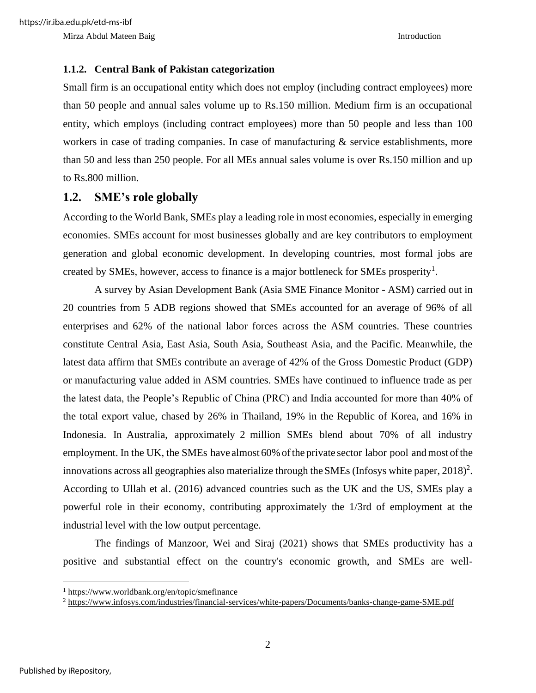#### **1.1.2. Central Bank of Pakistan categorization**

Small firm is an occupational entity which does not employ (including contract employees) more than 50 people and annual sales volume up to Rs.150 million. Medium firm is an occupational entity, which employs (including contract employees) more than 50 people and less than 100 workers in case of trading companies. In case of manufacturing  $\&$  service establishments, more than 50 and less than 250 people. For all MEs annual sales volume is over Rs.150 million and up to Rs.800 million.

#### **1.2. SME's role globally**

According to the World Bank, SMEs play a leading role in most economies, especially in emerging economies. SMEs account for most businesses globally and are key contributors to employment generation and global economic development. In developing countries, most formal jobs are created by SMEs, however, access to finance is a major bottleneck for SMEs prosperity<sup>1</sup>.

A survey by Asian Development Bank (Asia SME Finance Monitor - ASM) carried out in 20 countries from 5 ADB regions showed that SMEs accounted for an average of 96% of all enterprises and 62% of the national labor forces across the ASM countries. These countries constitute Central Asia, East Asia, South Asia, Southeast Asia, and the Pacific. Meanwhile, the latest data affirm that SMEs contribute an average of 42% of the Gross Domestic Product (GDP) or manufacturing value added in ASM countries. SMEs have continued to influence trade as per the latest data, the People's Republic of China (PRC) and India accounted for more than 40% of the total export value, chased by 26% in Thailand, 19% in the Republic of Korea, and 16% in Indonesia. In Australia, approximately 2 million SMEs blend about 70% of all industry employment. In the UK, the SMEs have almost 60% of the private sector labor pool and most of the innovations across all geographies also materialize through the SMEs (Infosys white paper,  $2018$ )<sup>2</sup>. According to Ullah et al. (2016) advanced countries such as the UK and the US, SMEs play a powerful role in their economy, contributing approximately the 1/3rd of employment at the industrial level with the low output percentage.

The findings of Manzoor, Wei and Siraj (2021) shows that SMEs productivity has a positive and substantial effect on the country's economic growth, and SMEs are well-

<sup>1</sup> https://www.worldbank.org/en/topic/smefinance

<sup>2</sup> <https://www.infosys.com/industries/financial-services/white-papers/Documents/banks-change-game-SME.pdf>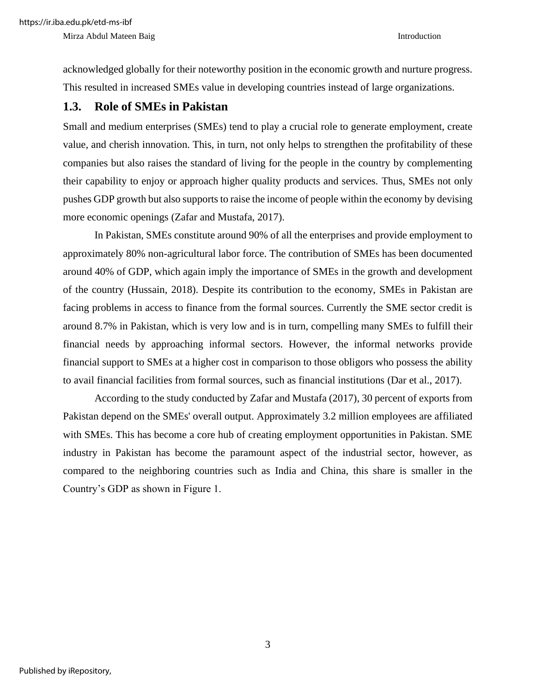acknowledged globally for their noteworthy position in the economic growth and nurture progress. This resulted in increased SMEs value in developing countries instead of large organizations.

### **1.3. Role of SMEs in Pakistan**

Small and medium enterprises (SMEs) tend to play a crucial role to generate employment, create value, and cherish innovation. This, in turn, not only helps to strengthen the profitability of these companies but also raises the standard of living for the people in the country by complementing their capability to enjoy or approach higher quality products and services*.* Thus, SMEs not only pushes GDP growth but also supports to raise the income of people within the economy by devising more economic openings (Zafar and Mustafa, 2017).

In Pakistan, SMEs constitute around 90% of all the enterprises and provide employment to approximately 80% non-agricultural labor force. The contribution of SMEs has been documented around 40% of GDP, which again imply the importance of SMEs in the growth and development of the country (Hussain, 2018). Despite its contribution to the economy, SMEs in Pakistan are facing problems in access to finance from the formal sources. Currently the SME sector credit is around 8.7% in Pakistan, which is very low and is in turn, compelling many SMEs to fulfill their financial needs by approaching informal sectors. However, the informal networks provide financial support to SMEs at a higher cost in comparison to those obligors who possess the ability to avail financial facilities from formal sources, such as financial institutions (Dar et al., 2017).

According to the study conducted by Zafar and Mustafa (2017), 30 percent of exports from Pakistan depend on the SMEs' overall output. Approximately 3.2 million employees are affiliated with SMEs. This has become a core hub of creating employment opportunities in Pakistan. SME industry in Pakistan has become the paramount aspect of the industrial sector, however, as compared to the neighboring countries such as India and China, this share is smaller in the Country's GDP as shown in Figure 1.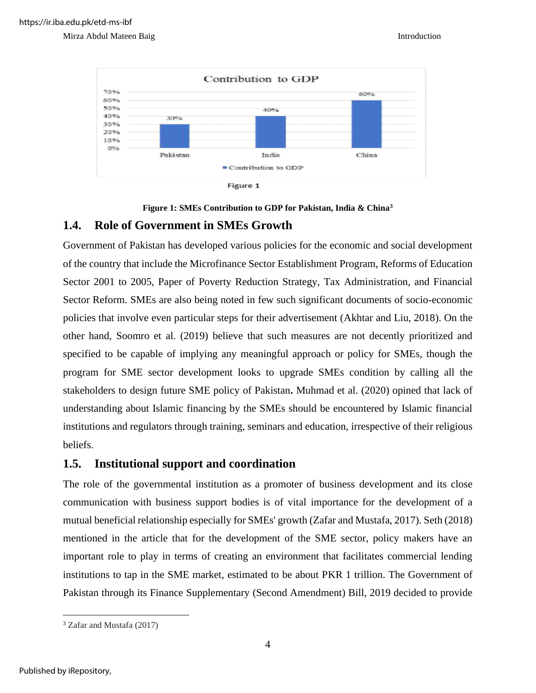



#### **1.4. Role of Government in SMEs Growth**

Government of Pakistan has developed various policies for the economic and social development of the country that include the Microfinance Sector Establishment Program, Reforms of Education Sector 2001 to 2005, Paper of Poverty Reduction Strategy, Tax Administration, and Financial Sector Reform. SMEs are also being noted in few such significant documents of socio-economic policies that involve even particular steps for their advertisement (Akhtar and Liu, 2018). On the other hand, Soomro et al. (2019) believe that such measures are not decently prioritized and specified to be capable of implying any meaningful approach or policy for SMEs, though the program for SME sector development looks to upgrade SMEs condition by calling all the stakeholders to design future SME policy of Pakistan**.** Muhmad et al. (2020) opined that lack of understanding about Islamic financing by the SMEs should be encountered by Islamic financial institutions and regulators through training, seminars and education, irrespective of their religious beliefs.

#### **1.5. Institutional support and coordination**

The role of the governmental institution as a promoter of business development and its close communication with business support bodies is of vital importance for the development of a mutual beneficial relationship especially for SMEs' growth (Zafar and Mustafa, 2017). Seth (2018) mentioned in the article that for the development of the SME sector, policy makers have an important role to play in terms of creating an environment that facilitates commercial lending institutions to tap in the SME market, estimated to be about PKR 1 trillion. The Government of Pakistan through its Finance Supplementary (Second Amendment) Bill, 2019 decided to provide

<sup>3</sup> Zafar and Mustafa (2017)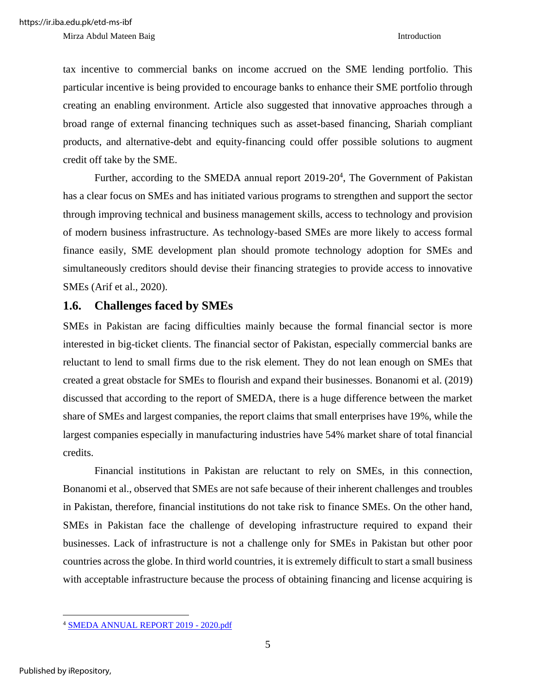tax incentive to commercial banks on income accrued on the SME lending portfolio. This particular incentive is being provided to encourage banks to enhance their SME portfolio through creating an enabling environment. Article also suggested that innovative approaches through a broad range of external financing techniques such as asset-based financing, Shariah compliant products, and alternative-debt and equity-financing could offer possible solutions to augment credit off take by the SME.

Further, according to the SMEDA annual report  $2019-20<sup>4</sup>$ , The Government of Pakistan has a clear focus on SMEs and has initiated various programs to strengthen and support the sector through improving technical and business management skills, access to technology and provision of modern business infrastructure. As technology-based SMEs are more likely to access formal finance easily, SME development plan should promote technology adoption for SMEs and simultaneously creditors should devise their financing strategies to provide access to innovative SMEs (Arif et al., 2020).

#### **1.6. Challenges faced by SMEs**

SMEs in Pakistan are facing difficulties mainly because the formal financial sector is more interested in big-ticket clients. The financial sector of Pakistan, especially commercial banks are reluctant to lend to small firms due to the risk element. They do not lean enough on SMEs that created a great obstacle for SMEs to flourish and expand their businesses. Bonanomi et al. (2019) discussed that according to the report of SMEDA, there is a huge difference between the market share of SMEs and largest companies, the report claims that small enterprises have 19%, while the largest companies especially in manufacturing industries have 54% market share of total financial credits.

Financial institutions in Pakistan are reluctant to rely on SMEs, in this connection, Bonanomi et al., observed that SMEs are not safe because of their inherent challenges and troubles in Pakistan, therefore, financial institutions do not take risk to finance SMEs. On the other hand, SMEs in Pakistan face the challenge of developing infrastructure required to expand their businesses. Lack of infrastructure is not a challenge only for SMEs in Pakistan but other poor countries across the globe. In third world countries, it is extremely difficult to start a small business with acceptable infrastructure because the process of obtaining financing and license acquiring is

<sup>4</sup> [SMEDA ANNUAL REPORT 2019 -](https://smeda.org/phocadownload/Publicatoins/SMEDA%20Annual%20Report%202019-20.pdf) 2020.pdf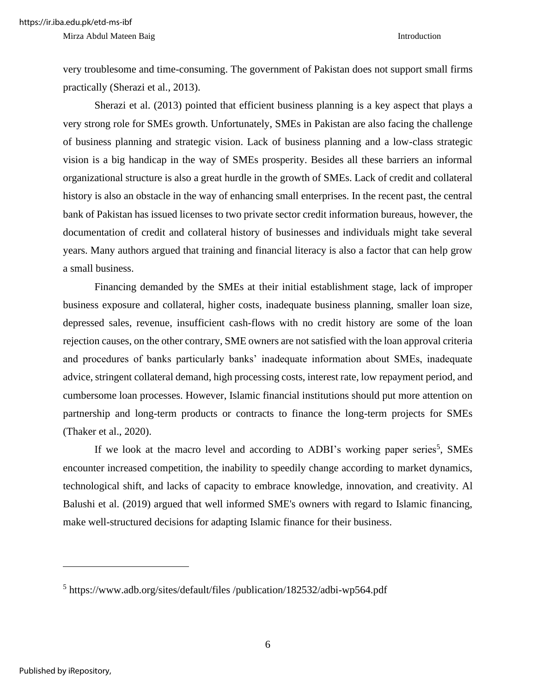very troublesome and time-consuming. The government of Pakistan does not support small firms practically (Sherazi et al., 2013).

Sherazi et al. (2013) pointed that efficient business planning is a key aspect that plays a very strong role for SMEs growth. Unfortunately, SMEs in Pakistan are also facing the challenge of business planning and strategic vision. Lack of business planning and a low-class strategic vision is a big handicap in the way of SMEs prosperity. Besides all these barriers an informal organizational structure is also a great hurdle in the growth of SMEs. Lack of credit and collateral history is also an obstacle in the way of enhancing small enterprises. In the recent past, the central bank of Pakistan has issued licenses to two private sector credit information bureaus, however, the documentation of credit and collateral history of businesses and individuals might take several years. Many authors argued that training and financial literacy is also a factor that can help grow a small business.

Financing demanded by the SMEs at their initial establishment stage, lack of improper business exposure and collateral, higher costs, inadequate business planning, smaller loan size, depressed sales, revenue, insufficient cash-flows with no credit history are some of the loan rejection causes, on the other contrary, SME owners are not satisfied with the loan approval criteria and procedures of banks particularly banks' inadequate information about SMEs, inadequate advice, stringent collateral demand, high processing costs, interest rate, low repayment period, and cumbersome loan processes. However, Islamic financial institutions should put more attention on partnership and long-term products or contracts to finance the long-term projects for SMEs (Thaker et al., 2020).

If we look at the macro level and according to ADBI's working paper series<sup>5</sup>, SMEs encounter increased competition, the inability to speedily change according to market dynamics, technological shift, and lacks of capacity to embrace knowledge, innovation, and creativity. Al Balushi et al. (2019) argued that well informed SME's owners with regard to Islamic financing, make well-structured decisions for adapting Islamic finance for their business.

<sup>&</sup>lt;sup>5</sup> https://www.adb.org/sites/default/files /publication/182532/adbi-wp564.pdf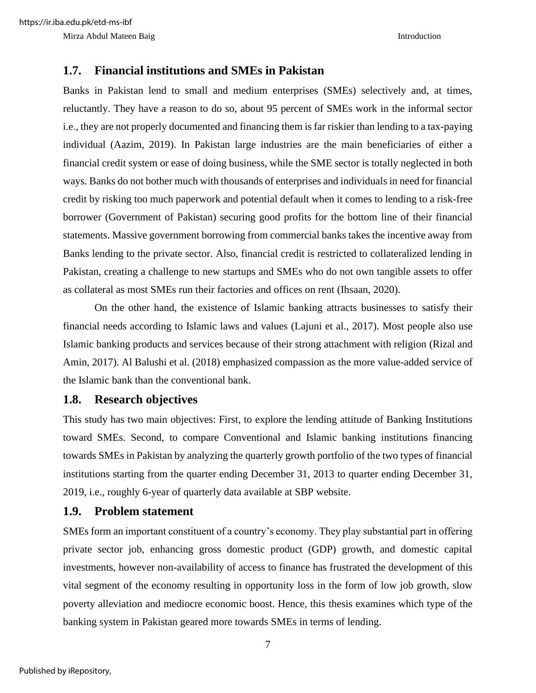#### **1.7. Financial institutions and SMEs in Pakistan**

Banks in Pakistan lend to small and medium enterprises (SMEs) selectively and, at times, reluctantly. They have a reason to do so, about 95 percent of SMEs work in the informal sector i.e., they are not properly documented and financing them is far riskier than lending to a tax-paying individual (Aazim, 2019). In Pakistan large industries are the main beneficiaries of either a financial credit system or ease of doing business, while the SME sector is totally neglected in both ways. Banks do not bother much with thousands of enterprises and individuals in need for financial credit by risking too much paperwork and potential default when it comes to lending to a risk-free borrower (Government of Pakistan) securing good profits for the bottom line of their financial statements. Massive government borrowing from commercial banks takes the incentive away from Banks lending to the private sector. Also, financial credit is restricted to collateralized lending in Pakistan, creating a challenge to new startups and SMEs who do not own tangible assets to offer as collateral as most SMEs run their factories and offices on rent (Ihsaan, 2020).

On the other hand, the existence of Islamic banking attracts businesses to satisfy their financial needs according to Islamic laws and values (Lajuni et al., 2017). Most people also use Islamic banking products and services because of their strong attachment with religion (Rizal and Amin, 2017). Al Balushi et al. (2018) emphasized compassion as the more value-added service of the Islamic bank than the conventional bank.

#### **1.8. Research objectives**

This study has two main objectives: First, to explore the lending attitude of Banking Institutions toward SMEs. Second, to compare Conventional and Islamic banking institutions financing towards SMEs in Pakistan by analyzing the quarterly growth portfolio of the two types of financial institutions starting from the quarter ending December 31, 2013 to quarter ending December 31, 2019, i.e., roughly 6-year of quarterly data available at SBP website.

#### **1.9. Problem statement**

SMEs form an important constituent of a country's economy. They play substantial part in offering private sector job, enhancing gross domestic product (GDP) growth, and domestic capital investments, however non-availability of access to finance has frustrated the development of this vital segment of the economy resulting in opportunity loss in the form of low job growth, slow poverty alleviation and mediocre economic boost. Hence, this thesis examines which type of the banking system in Pakistan geared more towards SMEs in terms of lending.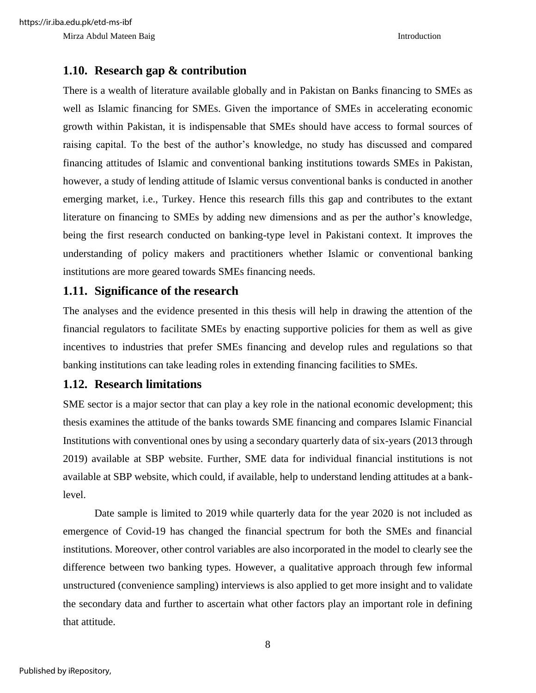#### **1.10. Research gap & contribution**

There is a wealth of literature available globally and in Pakistan on Banks financing to SMEs as well as Islamic financing for SMEs. Given the importance of SMEs in accelerating economic growth within Pakistan, it is indispensable that SMEs should have access to formal sources of raising capital. To the best of the author's knowledge, no study has discussed and compared financing attitudes of Islamic and conventional banking institutions towards SMEs in Pakistan, however, a study of lending attitude of Islamic versus conventional banks is conducted in another emerging market, i.e., Turkey. Hence this research fills this gap and contributes to the extant literature on financing to SMEs by adding new dimensions and as per the author's knowledge, being the first research conducted on banking-type level in Pakistani context. It improves the understanding of policy makers and practitioners whether Islamic or conventional banking institutions are more geared towards SMEs financing needs.

#### **1.11. Significance of the research**

The analyses and the evidence presented in this thesis will help in drawing the attention of the financial regulators to facilitate SMEs by enacting supportive policies for them as well as give incentives to industries that prefer SMEs financing and develop rules and regulations so that banking institutions can take leading roles in extending financing facilities to SMEs.

#### **1.12. Research limitations**

SME sector is a major sector that can play a key role in the national economic development; this thesis examines the attitude of the banks towards SME financing and compares Islamic Financial Institutions with conventional ones by using a secondary quarterly data of six-years (2013 through 2019) available at SBP website. Further, SME data for individual financial institutions is not available at SBP website, which could, if available, help to understand lending attitudes at a banklevel.

Date sample is limited to 2019 while quarterly data for the year 2020 is not included as emergence of Covid-19 has changed the financial spectrum for both the SMEs and financial institutions. Moreover, other control variables are also incorporated in the model to clearly see the difference between two banking types. However, a qualitative approach through few informal unstructured (convenience sampling) interviews is also applied to get more insight and to validate the secondary data and further to ascertain what other factors play an important role in defining that attitude.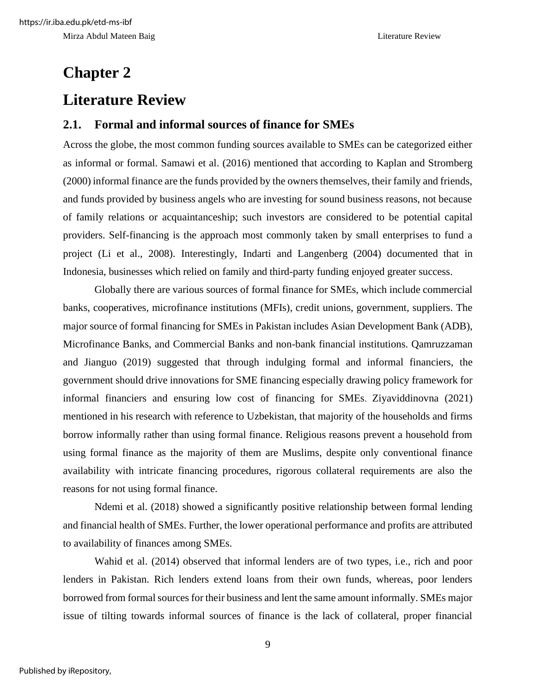# **Chapter 2 Literature Review**

#### **2.1. Formal and informal sources of finance for SMEs**

Across the globe, the most common funding sources available to SMEs can be categorized either as informal or formal. Samawi et al. (2016) mentioned that according to Kaplan and Stromberg (2000) informal finance are the funds provided by the owners themselves, their family and friends, and funds provided by business angels who are investing for sound business reasons, not because of family relations or acquaintanceship; such investors are considered to be potential capital providers. Self-financing is the approach most commonly taken by small enterprises to fund a project (Li et al., 2008). Interestingly, Indarti and Langenberg (2004) documented that in Indonesia, businesses which relied on family and third-party funding enjoyed greater success.

Globally there are various sources of formal finance for SMEs, which include commercial banks, cooperatives, microfinance institutions (MFIs), credit unions, government, suppliers. The major source of formal financing for SMEs in Pakistan includes Asian Development Bank (ADB), Microfinance Banks, and Commercial Banks and non-bank financial institutions. Qamruzzaman and Jianguo (2019) suggested that through indulging formal and informal financiers, the government should drive innovations for SME financing especially drawing policy framework for informal financiers and ensuring low cost of financing for SMEs. Ziyaviddinovna (2021) mentioned in his research with reference to Uzbekistan, that majority of the households and firms borrow informally rather than using formal finance. Religious reasons prevent a household from using formal finance as the majority of them are Muslims, despite only conventional finance availability with intricate financing procedures, rigorous collateral requirements are also the reasons for not using formal finance.

Ndemi et al. (2018) showed a significantly positive relationship between formal lending and financial health of SMEs. Further, the lower operational performance and profits are attributed to availability of finances among SMEs.

Wahid et al. (2014) observed that informal lenders are of two types, i.e., rich and poor lenders in Pakistan. Rich lenders extend loans from their own funds, whereas, poor lenders borrowed from formal sources for their business and lent the same amount informally. SMEs major issue of tilting towards informal sources of finance is the lack of collateral, proper financial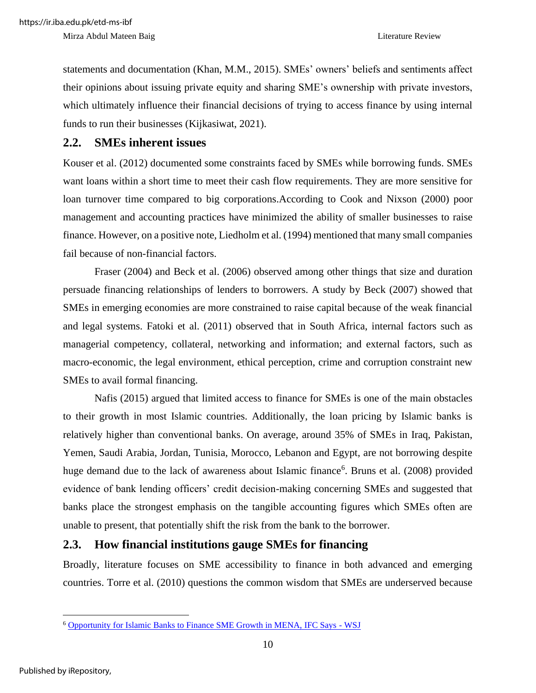Mirza Abdul Mateen Baig **Literature Review** Literature Review

statements and documentation (Khan, M.M., 2015). SMEs' owners' beliefs and sentiments affect their opinions about issuing private equity and sharing SME's ownership with private investors, which ultimately influence their financial decisions of trying to access finance by using internal funds to run their businesses (Kijkasiwat, 2021).

#### **2.2. SMEs inherent issues**

Kouser et al. (2012) documented some constraints faced by SMEs while borrowing funds. SMEs want loans within a short time to meet their cash flow requirements. They are more sensitive for loan turnover time compared to big corporations.According to Cook and Nixson (2000) poor management and accounting practices have minimized the ability of smaller businesses to raise finance. However, on a positive note, Liedholm et al. (1994) mentioned that many small companies fail because of non-financial factors.

Fraser (2004) and Beck et al. (2006) observed among other things that size and duration persuade financing relationships of lenders to borrowers. A study by Beck (2007) showed that SMEs in emerging economies are more constrained to raise capital because of the weak financial and legal systems. Fatoki et al. (2011) observed that in South Africa, internal factors such as managerial competency, collateral, networking and information; and external factors, such as macro-economic, the legal environment, ethical perception, crime and corruption constraint new SMEs to avail formal financing.

Nafis (2015) argued that limited access to finance for SMEs is one of the main obstacles to their growth in most Islamic countries. Additionally, the loan pricing by Islamic banks is relatively higher than conventional banks. On average, around 35% of SMEs in Iraq, Pakistan, Yemen, Saudi Arabia, Jordan, Tunisia, Morocco, Lebanon and Egypt, are not borrowing despite huge demand due to the lack of awareness about Islamic finance<sup>6</sup>. Bruns et al. (2008) provided evidence of bank lending officers' credit decision-making concerning SMEs and suggested that banks place the strongest emphasis on the tangible accounting figures which SMEs often are unable to present, that potentially shift the risk from the bank to the borrower.

#### **2.3. How financial institutions gauge SMEs for financing**

Broadly, literature focuses on SME accessibility to finance in both advanced and emerging countries. Torre et al. (2010) questions the common wisdom that SMEs are underserved because

<sup>6</sup> [Opportunity for Islamic Banks to Finance SME Growth in MENA, IFC Says -](https://www.wsj.com/articles/BL-250B-1721) WSJ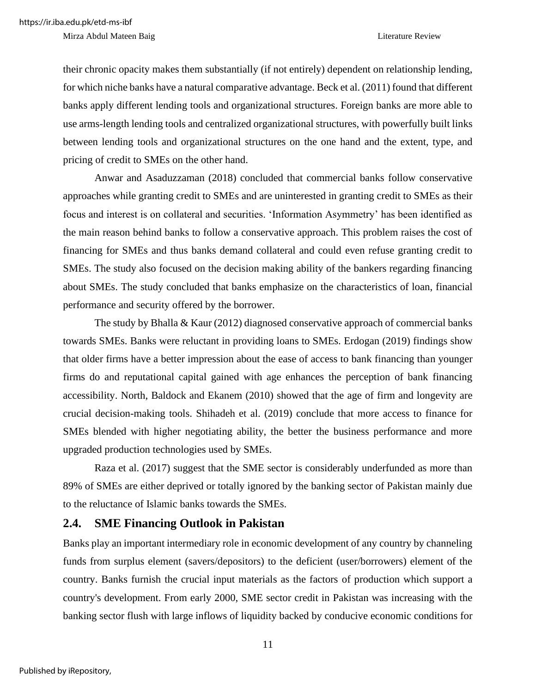Mirza Abdul Mateen Baig **Literature Review** Literature Review

their chronic opacity makes them substantially (if not entirely) dependent on relationship lending, for which niche banks have a natural comparative advantage. Beck et al. (2011) found that different banks apply different lending tools and organizational structures. Foreign banks are more able to use arms-length lending tools and centralized organizational structures, with powerfully built links between lending tools and organizational structures on the one hand and the extent, type, and pricing of credit to SMEs on the other hand.

Anwar and Asaduzzaman (2018) concluded that commercial banks follow conservative approaches while granting credit to SMEs and are uninterested in granting credit to SMEs as their focus and interest is on collateral and securities. 'Information Asymmetry' has been identified as the main reason behind banks to follow a conservative approach. This problem raises the cost of financing for SMEs and thus banks demand collateral and could even refuse granting credit to SMEs. The study also focused on the decision making ability of the bankers regarding financing about SMEs. The study concluded that banks emphasize on the characteristics of loan, financial performance and security offered by the borrower.

The study by Bhalla & Kaur (2012) diagnosed conservative approach of commercial banks towards SMEs. Banks were reluctant in providing loans to SMEs. Erdogan (2019) findings show that older firms have a better impression about the ease of access to bank financing than younger firms do and reputational capital gained with age enhances the perception of bank financing accessibility. North, Baldock and Ekanem (2010) showed that the age of firm and longevity are crucial decision-making tools. Shihadeh et al. (2019) conclude that more access to finance for SMEs blended with higher negotiating ability, the better the business performance and more upgraded production technologies used by SMEs.

Raza et al. (2017) suggest that the SME sector is considerably underfunded as more than 89% of SMEs are either deprived or totally ignored by the banking sector of Pakistan mainly due to the reluctance of Islamic banks towards the SMEs.

#### **2.4. SME Financing Outlook in Pakistan**

Banks play an important intermediary role in economic development of any country by channeling funds from surplus element (savers/depositors) to the deficient (user/borrowers) element of the country. Banks furnish the crucial input materials as the factors of production which support a country's development. From early 2000, SME sector credit in Pakistan was increasing with the banking sector flush with large inflows of liquidity backed by conducive economic conditions for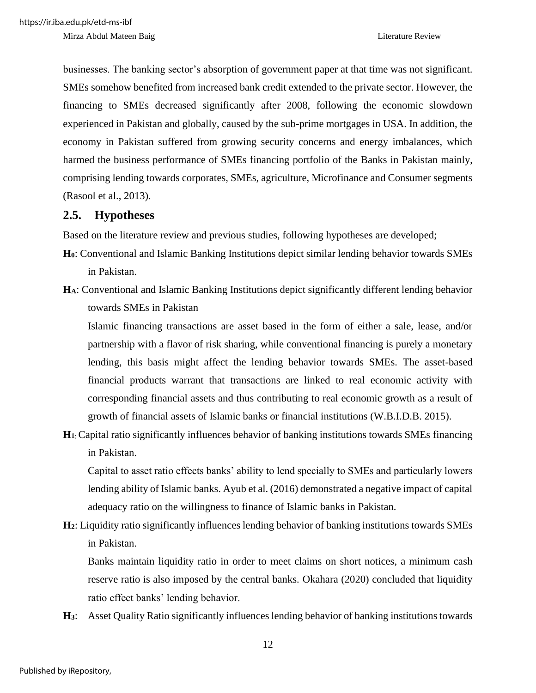Mirza Abdul Mateen Baig **Literature Review** Literature Review

businesses. The banking sector's absorption of government paper at that time was not significant. SMEs somehow benefited from increased bank credit extended to the private sector. However, the financing to SMEs decreased significantly after 2008, following the economic slowdown experienced in Pakistan and globally, caused by the sub-prime mortgages in USA. In addition, the economy in Pakistan suffered from growing security concerns and energy imbalances, which harmed the business performance of SMEs financing portfolio of the Banks in Pakistan mainly, comprising lending towards corporates, SMEs, agriculture, Microfinance and Consumer segments (Rasool et al., 2013).

#### **2.5. Hypotheses**

Based on the literature review and previous studies, following hypotheses are developed;

- **H0**: Conventional and Islamic Banking Institutions depict similar lending behavior towards SMEs in Pakistan.
- **HA**: Conventional and Islamic Banking Institutions depict significantly different lending behavior towards SMEs in Pakistan

Islamic financing transactions are asset based in the form of either a sale, lease, and/or partnership with a flavor of risk sharing, while conventional financing is purely a monetary lending, this basis might affect the lending behavior towards SMEs. The asset-based financial products warrant that transactions are linked to real economic activity with corresponding financial assets and thus contributing to real economic growth as a result of growth of financial assets of Islamic banks or financial institutions (W.B.I.D.B. 2015).

**H<sup>1</sup>**: Capital ratio significantly influences behavior of banking institutions towards SMEs financing in Pakistan.

Capital to asset ratio effects banks' ability to lend specially to SMEs and particularly lowers lending ability of Islamic banks. Ayub et al. (2016) demonstrated a negative impact of capital adequacy ratio on the willingness to finance of Islamic banks in Pakistan.

**H2**: Liquidity ratio significantly influences lending behavior of banking institutions towards SMEs in Pakistan.

Banks maintain liquidity ratio in order to meet claims on short notices, a minimum cash reserve ratio is also imposed by the central banks. Okahara (2020) concluded that liquidity ratio effect banks' lending behavior.

**H3**: Asset Quality Ratio significantly influences lending behavior of banking institutions towards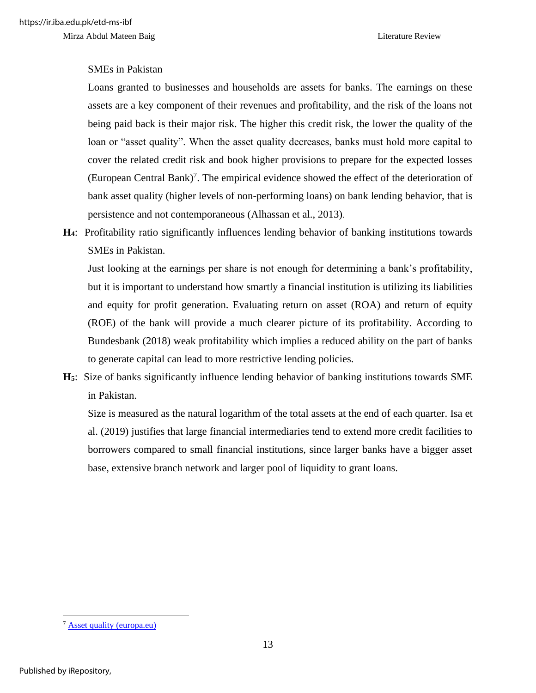#### SMEs in Pakistan

Loans granted to businesses and households are assets for banks. The earnings on these assets are a key component of their revenues and profitability, and the risk of the loans not being paid back is their major risk. The higher this credit risk, the lower the quality of the loan or "asset quality". When the asset quality decreases, banks must hold more capital to cover the related credit risk and book higher provisions to prepare for the expected losses (European Central Bank)<sup>7</sup>. The empirical evidence showed the effect of the deterioration of bank asset quality (higher levels of non-performing loans) on bank lending behavior, that is persistence and not contemporaneous (Alhassan et al., 2013).

**H4**: Profitability ratio significantly influences lending behavior of banking institutions towards SMEs in Pakistan.

Just looking at the earnings per share is not enough for determining a bank's profitability, but it is important to understand how smartly a financial institution is utilizing its liabilities and equity for profit generation. Evaluating return on asset (ROA) and return of equity (ROE) of the bank will provide a much clearer picture of its profitability. According to Bundesbank (2018) weak profitability which implies a reduced ability on the part of banks to generate capital can lead to more restrictive lending policies.

**H5**: Size of banks significantly influence lending behavior of banking institutions towards SME in Pakistan.

Size is measured as the natural logarithm of the total assets at the end of each quarter. Isa et al. (2019) justifies that large financial intermediaries tend to extend more credit facilities to borrowers compared to small financial institutions, since larger banks have a bigger asset base, extensive branch network and larger pool of liquidity to grant loans.

<sup>&</sup>lt;sup>7</sup> [Asset quality \(europa.eu\)](https://www.bankingsupervision.europa.eu/banking/priorities/assetquality/html/index.en.html)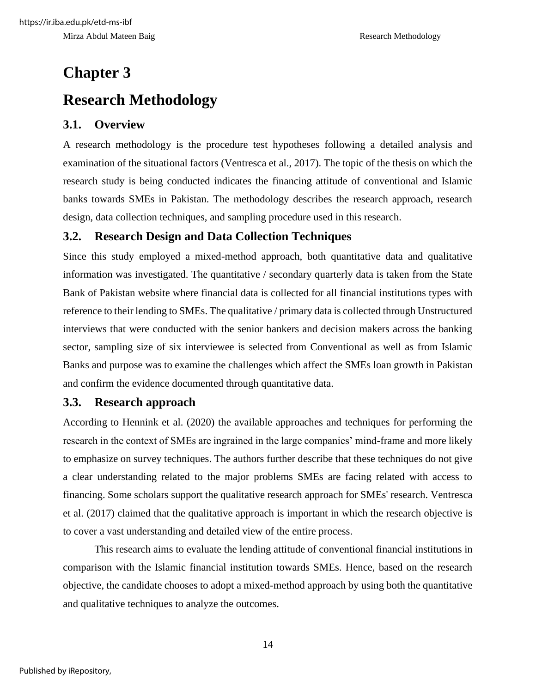# **Chapter 3 Research Methodology**

#### **3.1. Overview**

A research methodology is the procedure test hypotheses following a detailed analysis and examination of the situational factors (Ventresca et al., 2017). The topic of the thesis on which the research study is being conducted indicates the financing attitude of conventional and Islamic banks towards SMEs in Pakistan. The methodology describes the research approach, research design, data collection techniques, and sampling procedure used in this research.

#### **3.2. Research Design and Data Collection Techniques**

Since this study employed a mixed-method approach, both quantitative data and qualitative information was investigated. The quantitative / secondary quarterly data is taken from the State Bank of Pakistan website where financial data is collected for all financial institutions types with reference to their lending to SMEs. The qualitative / primary data is collected through Unstructured interviews that were conducted with the senior bankers and decision makers across the banking sector, sampling size of six interviewee is selected from Conventional as well as from Islamic Banks and purpose was to examine the challenges which affect the SMEs loan growth in Pakistan and confirm the evidence documented through quantitative data.

#### **3.3. Research approach**

According to Hennink et al. (2020) the available approaches and techniques for performing the research in the context of SMEs are ingrained in the large companies' mind-frame and more likely to emphasize on survey techniques. The authors further describe that these techniques do not give a clear understanding related to the major problems SMEs are facing related with access to financing. Some scholars support the qualitative research approach for SMEs' research. Ventresca et al. (2017) claimed that the qualitative approach is important in which the research objective is to cover a vast understanding and detailed view of the entire process.

This research aims to evaluate the lending attitude of conventional financial institutions in comparison with the Islamic financial institution towards SMEs. Hence, based on the research objective, the candidate chooses to adopt a mixed-method approach by using both the quantitative and qualitative techniques to analyze the outcomes.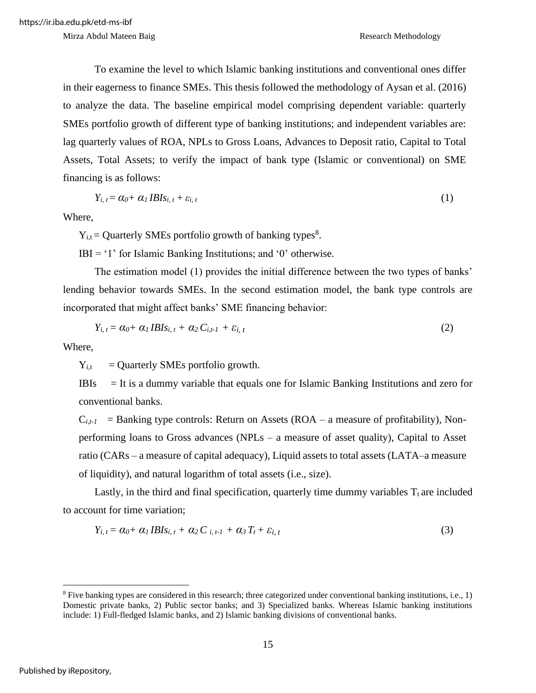To examine the level to which Islamic banking institutions and conventional ones differ in their eagerness to finance SMEs. This thesis followed the methodology of Aysan et al. (2016) to analyze the data. The baseline empirical model comprising dependent variable: quarterly SMEs portfolio growth of different type of banking institutions; and independent variables are: lag quarterly values of ROA, NPLs to Gross Loans, Advances to Deposit ratio, Capital to Total Assets, Total Assets; to verify the impact of bank type (Islamic or conventional) on SME financing is as follows:

$$
Y_{i, t} = \alpha_0 + \alpha_1 I B I s_{i, t} + \varepsilon_{i, t} \tag{1}
$$

Where,

 $Y_{i,t}$  = Quarterly SMEs portfolio growth of banking types<sup>8</sup>.

 $IBI = '1'$  for Islamic Banking Institutions; and '0' otherwise.

The estimation model (1) provides the initial difference between the two types of banks' lending behavior towards SMEs. In the second estimation model, the bank type controls are incorporated that might affect banks' SME financing behavior:

$$
Y_{i, t} = \alpha_0 + \alpha_1 I B I s_{i, t} + \alpha_2 C_{i, t} + \varepsilon_{i, t}
$$
\n
$$
(2)
$$

Where,

 $Y_{i,t}$  = Quarterly SMEs portfolio growth.

IBIs  $=$  It is a dummy variable that equals one for Islamic Banking Institutions and zero for conventional banks.

 $C_{i,t-1}$  = Banking type controls: Return on Assets (ROA – a measure of profitability), Nonperforming loans to Gross advances (NPLs – a measure of asset quality), Capital to Asset ratio (CARs – a measure of capital adequacy), Liquid assets to total assets (LATA–a measure of liquidity), and natural logarithm of total assets (i.e., size).

Lastly, in the third and final specification, quarterly time dummy variables  $T_t$  are included to account for time variation;

$$
Y_{i, t} = \alpha_0 + \alpha_1 IBIs_{i, t} + \alpha_2 C_{i, t-1} + \alpha_3 T_t + \varepsilon_{i, t}
$$
\n
$$
(3)
$$

 $8$  Five banking types are considered in this research; three categorized under conventional banking institutions, i.e., 1) Domestic private banks, 2) Public sector banks; and 3) Specialized banks. Whereas Islamic banking institutions include: 1) Full-fledged Islamic banks, and 2) Islamic banking divisions of conventional banks.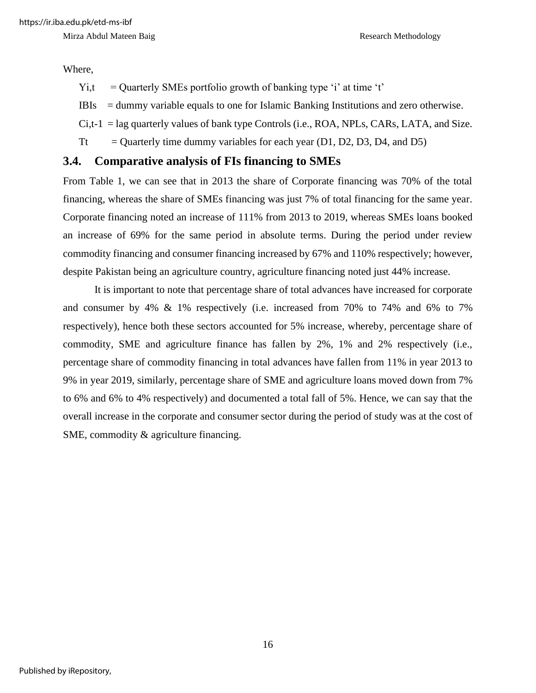Where,

- $Y_i$ ,  $t =$  Ouarterly SMEs portfolio growth of banking type 'i' at time 't'
- IBIs = dummy variable equals to one for Islamic Banking Institutions and zero otherwise.
- $C_i$ ,  $t-1 =$  lag quarterly values of bank type Controls (i.e., ROA, NPLs, CARs, LATA, and Size.
- Tt  $=$  Quarterly time dummy variables for each year (D1, D2, D3, D4, and D5)

#### **3.4. Comparative analysis of FIs financing to SMEs**

From Table 1, we can see that in 2013 the share of Corporate financing was 70% of the total financing, whereas the share of SMEs financing was just 7% of total financing for the same year. Corporate financing noted an increase of 111% from 2013 to 2019, whereas SMEs loans booked an increase of 69% for the same period in absolute terms. During the period under review commodity financing and consumer financing increased by 67% and 110% respectively; however, despite Pakistan being an agriculture country, agriculture financing noted just 44% increase.

It is important to note that percentage share of total advances have increased for corporate and consumer by 4% & 1% respectively (i.e. increased from 70% to 74% and 6% to 7% respectively), hence both these sectors accounted for 5% increase, whereby, percentage share of commodity, SME and agriculture finance has fallen by 2%, 1% and 2% respectively (i.e., percentage share of commodity financing in total advances have fallen from 11% in year 2013 to 9% in year 2019, similarly, percentage share of SME and agriculture loans moved down from 7% to 6% and 6% to 4% respectively) and documented a total fall of 5%. Hence, we can say that the overall increase in the corporate and consumer sector during the period of study was at the cost of SME, commodity & agriculture financing.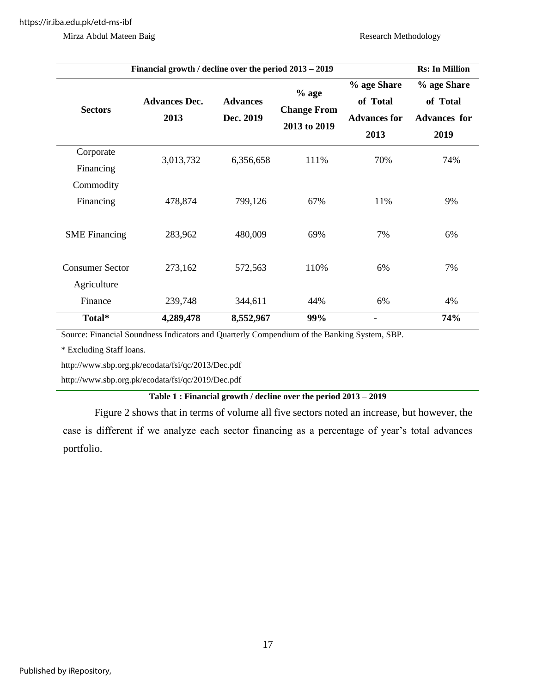| Financial growth / decline over the period 2013 – 2019 | <b>Rs:</b> In Million        |                              |                                               |                                                        |                                                        |
|--------------------------------------------------------|------------------------------|------------------------------|-----------------------------------------------|--------------------------------------------------------|--------------------------------------------------------|
| <b>Sectors</b>                                         | <b>Advances Dec.</b><br>2013 | <b>Advances</b><br>Dec. 2019 | $%$ age<br><b>Change From</b><br>2013 to 2019 | % age Share<br>of Total<br><b>Advances for</b><br>2013 | % age Share<br>of Total<br><b>Advances for</b><br>2019 |
| Corporate<br>Financing                                 | 3,013,732                    | 6,356,658                    | 111%                                          | 70%                                                    | 74%                                                    |
| Commodity<br>Financing                                 | 478,874                      | 799,126                      | 67%                                           | 11%                                                    | 9%                                                     |
| <b>SME</b> Financing                                   | 283,962                      | 480,009                      | 69%                                           | 7%                                                     | 6%                                                     |
| <b>Consumer Sector</b><br>Agriculture                  | 273,162                      | 572,563                      | 110%                                          | 6%                                                     | 7%                                                     |
| Finance                                                | 239,748                      | 344,611                      | 44%                                           | 6%                                                     | 4%                                                     |
| Total*                                                 | 4,289,478                    | 8,552,967                    | 99%                                           |                                                        | 74%                                                    |

Source: Financial Soundness Indicators and Quarterly Compendium of the Banking System, SBP.

\* Excluding Staff loans.

<http://www.sbp.org.pk/ecodata/fsi/qc/2013/Dec.pdf>

<http://www.sbp.org.pk/ecodata/fsi/qc/2019/Dec.pdf>

#### **Table 1 : Financial growth / decline over the period 2013 – 2019**

Figure 2 shows that in terms of volume all five sectors noted an increase, but however, the case is different if we analyze each sector financing as a percentage of year's total advances portfolio.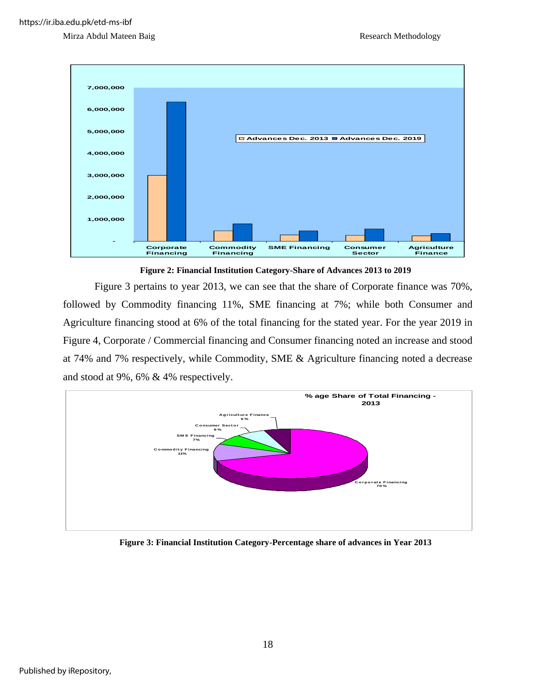



**Figure 2: Financial Institution Category-Share of Advances 2013 to 2019**

Figure 3 pertains to year 2013, we can see that the share of Corporate finance was 70%, followed by Commodity financing 11%, SME financing at 7%; while both Consumer and Agriculture financing stood at 6% of the total financing for the stated year. For the year 2019 in Figure 4, Corporate / Commercial financing and Consumer financing noted an increase and stood at 74% and 7% respectively, while Commodity, SME & Agriculture financing noted a decrease and stood at 9%, 6% & 4% respectively.



**Figure 3: Financial Institution Category-Percentage share of advances in Year 2013**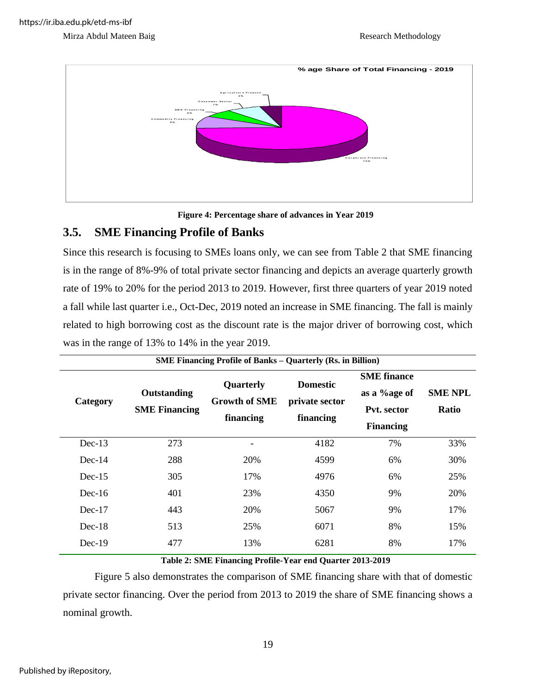



**Figure 4: Percentage share of advances in Year 2019**

#### **3.5. SME Financing Profile of Banks**

Since this research is focusing to SMEs loans only, we can see from Table 2 that SME financing is in the range of 8%-9% of total private sector financing and depicts an average quarterly growth rate of 19% to 20% for the period 2013 to 2019. However, first three quarters of year 2019 noted a fall while last quarter i.e., Oct-Dec, 2019 noted an increase in SME financing. The fall is mainly related to high borrowing cost as the discount rate is the major driver of borrowing cost, which was in the range of 13% to 14% in the year 2019.

|          | <b>SME Financing Profile of Banks – Quarterly (Rs. in Billion)</b> |                                                       |                                                |                                                                       |                                |  |  |  |  |  |
|----------|--------------------------------------------------------------------|-------------------------------------------------------|------------------------------------------------|-----------------------------------------------------------------------|--------------------------------|--|--|--|--|--|
| Category | Outstanding<br><b>SME Financing</b>                                | <b>Quarterly</b><br><b>Growth of SME</b><br>financing | <b>Domestic</b><br>private sector<br>financing | <b>SME</b> finance<br>as a %age of<br>Pvt. sector<br><b>Financing</b> | <b>SME NPL</b><br><b>Ratio</b> |  |  |  |  |  |
| $Dec-13$ | 273                                                                |                                                       | 4182                                           | 7%                                                                    | 33%                            |  |  |  |  |  |
| $Dec-14$ | 288                                                                | 20%                                                   | 4599                                           | 6%                                                                    | 30%                            |  |  |  |  |  |
| $Dec-15$ | 305                                                                | 17%                                                   | 4976                                           | 6%                                                                    | 25%                            |  |  |  |  |  |
| $Dec-16$ | 401                                                                | 23%                                                   | 4350                                           | 9%                                                                    | 20%                            |  |  |  |  |  |
| $Dec-17$ | 443                                                                | 20%                                                   | 5067                                           | 9%                                                                    | 17%                            |  |  |  |  |  |
| $Dec-18$ | 513                                                                | 25%                                                   | 6071                                           | 8%                                                                    | 15%                            |  |  |  |  |  |
| $Dec-19$ | 477                                                                | 13%                                                   | 6281                                           | 8%                                                                    | 17%                            |  |  |  |  |  |

**Table 2: SME Financing Profile-Year end Quarter 2013-2019**

Figure 5 also demonstrates the comparison of SME financing share with that of domestic private sector financing. Over the period from 2013 to 2019 the share of SME financing shows a nominal growth.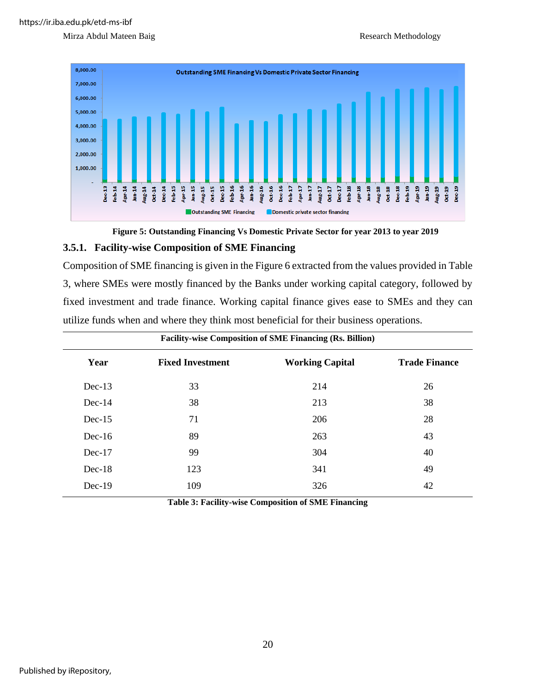





#### **3.5.1. Facility-wise Composition of SME Financing**

Composition of SME financing is given in the Figure 6 extracted from the values provided in Table 3, where SMEs were mostly financed by the Banks under working capital category, followed by fixed investment and trade finance. Working capital finance gives ease to SMEs and they can utilize funds when and where they think most beneficial for their business operations.

| <b>Facility-wise Composition of SME Financing (Rs. Billion)</b> |                         |                        |                      |  |  |  |  |
|-----------------------------------------------------------------|-------------------------|------------------------|----------------------|--|--|--|--|
| Year                                                            | <b>Fixed Investment</b> | <b>Working Capital</b> | <b>Trade Finance</b> |  |  |  |  |
| $Dec-13$                                                        | 33                      | 214                    | 26                   |  |  |  |  |
| $Dec-14$                                                        | 38                      | 213                    | 38                   |  |  |  |  |
| $Dec-15$                                                        | 71                      | 206                    | 28                   |  |  |  |  |
| $Dec-16$                                                        | 89                      | 263                    | 43                   |  |  |  |  |
| $Dec-17$                                                        | 99                      | 304                    | 40                   |  |  |  |  |
| $Dec-18$                                                        | 123                     | 341                    | 49                   |  |  |  |  |
| $Dec-19$                                                        | 109                     | 326                    | 42                   |  |  |  |  |

**Table 3: Facility-wise Composition of SME Financing**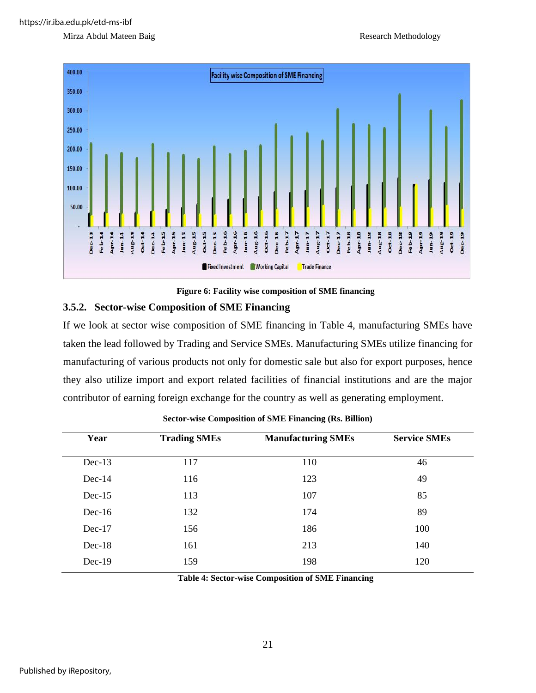

**Figure 6: Facility wise composition of SME financing**

#### **3.5.2. Sector-wise Composition of SME Financing**

If we look at sector wise composition of SME financing in Table 4, manufacturing SMEs have taken the lead followed by Trading and Service SMEs. Manufacturing SMEs utilize financing for manufacturing of various products not only for domestic sale but also for export purposes, hence they also utilize import and export related facilities of financial institutions and are the major contributor of earning foreign exchange for the country as well as generating employment.

| <b>Sector-wise Composition of SME Financing (Rs. Billion)</b> |                     |                           |                     |  |  |  |  |
|---------------------------------------------------------------|---------------------|---------------------------|---------------------|--|--|--|--|
| Year                                                          | <b>Trading SMEs</b> | <b>Manufacturing SMEs</b> | <b>Service SMEs</b> |  |  |  |  |
| $Dec-13$                                                      | 117                 | 110                       | 46                  |  |  |  |  |
| $Dec-14$                                                      | 116                 | 123                       | 49                  |  |  |  |  |
| $Dec-15$                                                      | 113                 | 107                       | 85                  |  |  |  |  |
| $Dec-16$                                                      | 132                 | 174                       | 89                  |  |  |  |  |
| $Dec-17$                                                      | 156                 | 186                       | 100                 |  |  |  |  |
| $Dec-18$                                                      | 161                 | 213                       | 140                 |  |  |  |  |
| $Dec-19$                                                      | 159                 | 198                       | 120                 |  |  |  |  |
|                                                               |                     |                           |                     |  |  |  |  |

**Table 4: Sector-wise Composition of SME Financing**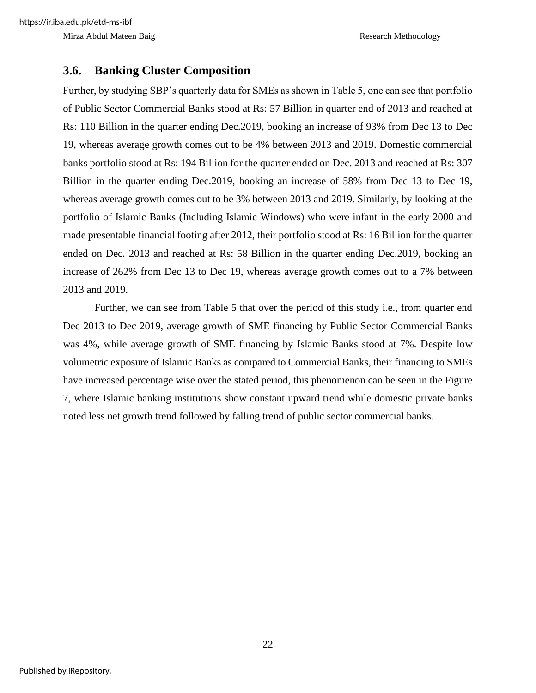#### **3.6. Banking Cluster Composition**

Further, by studying SBP's quarterly data for SMEs as shown in Table 5, one can see that portfolio of Public Sector Commercial Banks stood at Rs: 57 Billion in quarter end of 2013 and reached at Rs: 110 Billion in the quarter ending Dec.2019, booking an increase of 93% from Dec 13 to Dec 19, whereas average growth comes out to be 4% between 2013 and 2019. Domestic commercial banks portfolio stood at Rs: 194 Billion for the quarter ended on Dec. 2013 and reached at Rs: 307 Billion in the quarter ending Dec.2019, booking an increase of 58% from Dec 13 to Dec 19, whereas average growth comes out to be 3% between 2013 and 2019. Similarly, by looking at the portfolio of Islamic Banks (Including Islamic Windows) who were infant in the early 2000 and made presentable financial footing after 2012, their portfolio stood at Rs: 16 Billion for the quarter ended on Dec. 2013 and reached at Rs: 58 Billion in the quarter ending Dec.2019, booking an increase of 262% from Dec 13 to Dec 19, whereas average growth comes out to a 7% between 2013 and 2019.

Further, we can see from Table 5 that over the period of this study i.e., from quarter end Dec 2013 to Dec 2019, average growth of SME financing by Public Sector Commercial Banks was 4%, while average growth of SME financing by Islamic Banks stood at 7%. Despite low volumetric exposure of Islamic Banks as compared to Commercial Banks, their financing to SMEs have increased percentage wise over the stated period, this phenomenon can be seen in the Figure 7, where Islamic banking institutions show constant upward trend while domestic private banks noted less net growth trend followed by falling trend of public sector commercial banks.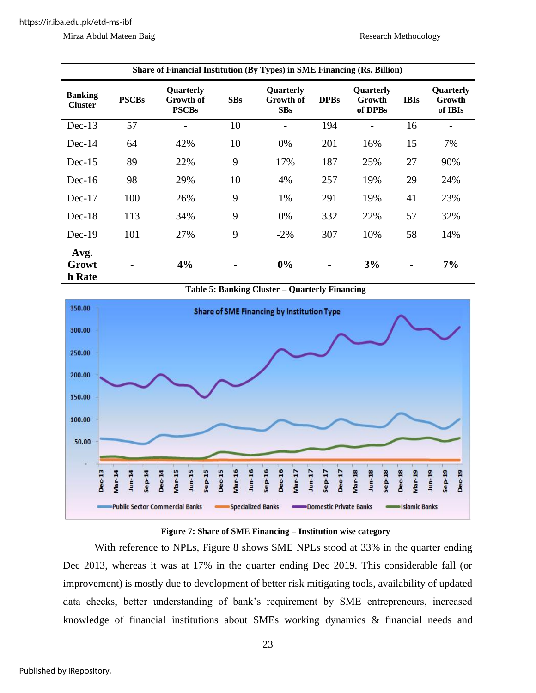|  |  | Mirza Abdul Mateen Baig |  |
|--|--|-------------------------|--|
|--|--|-------------------------|--|

| Share of Financial Institution (By Types) in SME Financing (Rs. Billion) |              |                                        |                |                                      |                |                                |                |                                       |
|--------------------------------------------------------------------------|--------------|----------------------------------------|----------------|--------------------------------------|----------------|--------------------------------|----------------|---------------------------------------|
| <b>Banking</b><br><b>Cluster</b>                                         | <b>PSCBs</b> | Quarterly<br>Growth of<br><b>PSCBs</b> | SBs            | Quarterly<br>Growth of<br><b>SBs</b> | <b>DPBs</b>    | Quarterly<br>Growth<br>of DPBs | <b>IBIs</b>    | <b>Ouarterly</b><br>Growth<br>of IBIs |
| $Dec-13$                                                                 | 57           | $\overline{\phantom{0}}$               | 10             | $\overline{\phantom{a}}$             | 194            |                                | 16             |                                       |
| $Dec-14$                                                                 | 64           | 42%                                    | 10             | 0%                                   | 201            | 16%                            | 15             | 7%                                    |
| $Dec-15$                                                                 | 89           | 22%                                    | 9              | 17%                                  | 187            | 25%                            | 27             | 90%                                   |
| $Dec-16$                                                                 | 98           | 29%                                    | 10             | 4%                                   | 257            | 19%                            | 29             | 24%                                   |
| $Dec-17$                                                                 | 100          | 26%                                    | 9              | 1%                                   | 291            | 19%                            | 41             | 23%                                   |
| $Dec-18$                                                                 | 113          | 34%                                    | 9              | 0%                                   | 332            | 22%                            | 57             | 32%                                   |
| $Dec-19$                                                                 | 101          | 27%                                    | 9              | $-2\%$                               | 307            | 10%                            | 58             | 14%                                   |
| Avg.<br>Growt<br>h Rate                                                  |              | 4%                                     | $\blacksquare$ | 0%                                   | $\blacksquare$ | 3%                             | $\blacksquare$ | 7%                                    |





#### **Figure 7: Share of SME Financing – Institution wise category**

With reference to NPLs, Figure 8 shows SME NPLs stood at 33% in the quarter ending Dec 2013, whereas it was at 17% in the quarter ending Dec 2019. This considerable fall (or improvement) is mostly due to development of better risk mitigating tools, availability of updated data checks, better understanding of bank's requirement by SME entrepreneurs, increased knowledge of financial institutions about SMEs working dynamics & financial needs and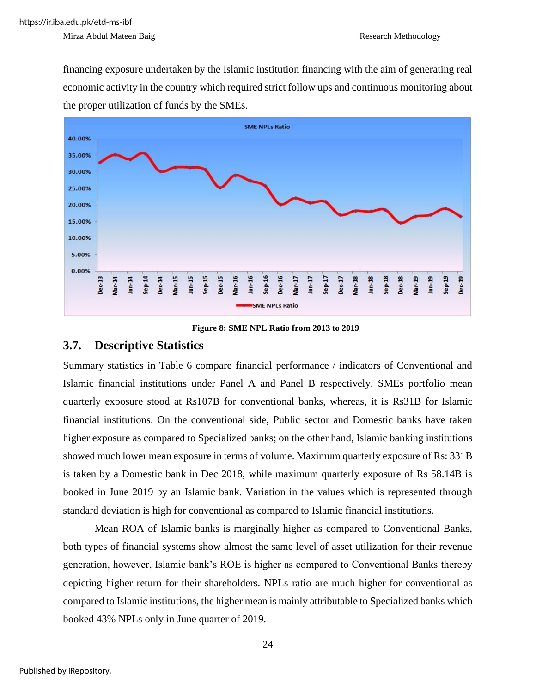financing exposure undertaken by the Islamic institution financing with the aim of generating real economic activity in the country which required strict follow ups and continuous monitoring about the proper utilization of funds by the SMEs.



**Figure 8: SME NPL Ratio from 2013 to 2019**

#### **3.7. Descriptive Statistics**

Summary statistics in Table 6 compare financial performance / indicators of Conventional and Islamic financial institutions under Panel A and Panel B respectively. SMEs portfolio mean quarterly exposure stood at Rs107B for conventional banks, whereas, it is Rs31B for Islamic financial institutions. On the conventional side, Public sector and Domestic banks have taken higher exposure as compared to Specialized banks; on the other hand, Islamic banking institutions showed much lower mean exposure in terms of volume. Maximum quarterly exposure of Rs: 331B is taken by a Domestic bank in Dec 2018, while maximum quarterly exposure of Rs 58.14B is booked in June 2019 by an Islamic bank. Variation in the values which is represented through standard deviation is high for conventional as compared to Islamic financial institutions.

Mean ROA of Islamic banks is marginally higher as compared to Conventional Banks, both types of financial systems show almost the same level of asset utilization for their revenue generation, however, Islamic bank's ROE is higher as compared to Conventional Banks thereby depicting higher return for their shareholders. NPLs ratio are much higher for conventional as compared to Islamic institutions, the higher mean is mainly attributable to Specialized banks which booked 43% NPLs only in June quarter of 2019.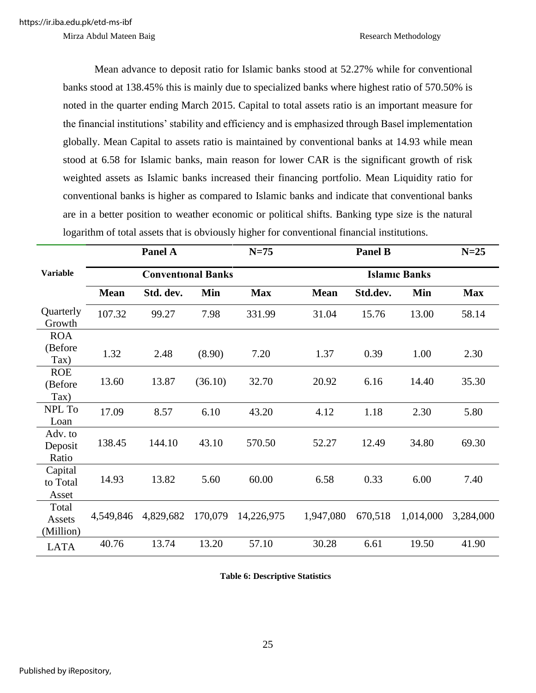Mean advance to deposit ratio for Islamic banks stood at 52.27% while for conventional banks stood at 138.45% this is mainly due to specialized banks where highest ratio of 570.50% is noted in the quarter ending March 2015. Capital to total assets ratio is an important measure for the financial institutions' stability and efficiency and is emphasized through Basel implementation globally. Mean Capital to assets ratio is maintained by conventional banks at 14.93 while mean stood at 6.58 for Islamic banks, main reason for lower CAR is the significant growth of risk weighted assets as Islamic banks increased their financing portfolio. Mean Liquidity ratio for conventional banks is higher as compared to Islamic banks and indicate that conventional banks are in a better position to weather economic or political shifts. Banking type size is the natural logarithm of total assets that is obviously higher for conventional financial institutions.

|                               |             | Panel A                   |         | $N=75$     |             | <b>Panel B</b> |                      | $N=25$     |
|-------------------------------|-------------|---------------------------|---------|------------|-------------|----------------|----------------------|------------|
| <b>Variable</b>               |             | <b>Conventional Banks</b> |         |            |             |                | <b>Islamic Banks</b> |            |
|                               | <b>Mean</b> | Std. dev.                 | Min     | <b>Max</b> | <b>Mean</b> | Std.dev.       | Min                  | <b>Max</b> |
| Quarterly<br>Growth           | 107.32      | 99.27                     | 7.98    | 331.99     | 31.04       | 15.76          | 13.00                | 58.14      |
| <b>ROA</b><br>(Before<br>Tax) | 1.32        | 2.48                      | (8.90)  | 7.20       | 1.37        | 0.39           | 1.00                 | 2.30       |
| <b>ROE</b><br>(Before<br>Tax) | 13.60       | 13.87                     | (36.10) | 32.70      | 20.92       | 6.16           | 14.40                | 35.30      |
| NPL To<br>Loan                | 17.09       | 8.57                      | 6.10    | 43.20      | 4.12        | 1.18           | 2.30                 | 5.80       |
| Adv. to<br>Deposit<br>Ratio   | 138.45      | 144.10                    | 43.10   | 570.50     | 52.27       | 12.49          | 34.80                | 69.30      |
| Capital<br>to Total<br>Asset  | 14.93       | 13.82                     | 5.60    | 60.00      | 6.58        | 0.33           | 6.00                 | 7.40       |
| Total<br>Assets<br>(Million)  | 4,549,846   | 4,829,682                 | 170,079 | 14,226,975 | 1,947,080   | 670,518        | 1,014,000            | 3,284,000  |
| <b>LATA</b>                   | 40.76       | 13.74                     | 13.20   | 57.10      | 30.28       | 6.61           | 19.50                | 41.90      |

**Table 6: Descriptive Statistics**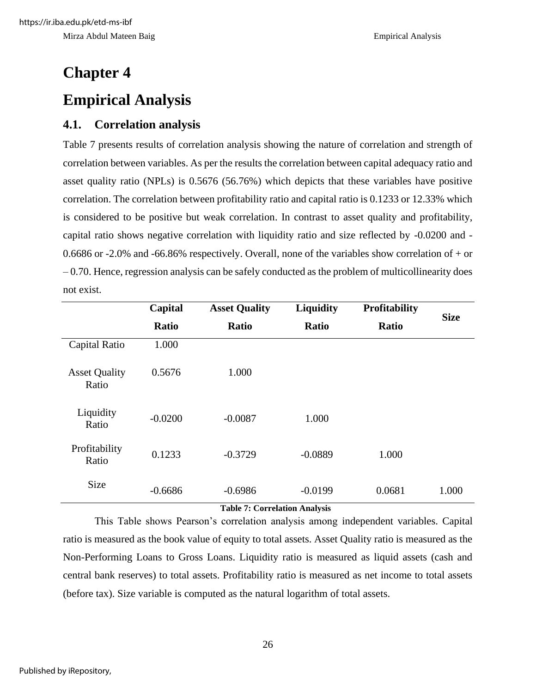# **Chapter 4 Empirical Analysis**

#### **4.1. Correlation analysis**

Table 7 presents results of correlation analysis showing the nature of correlation and strength of correlation between variables. As per the results the correlation between capital adequacy ratio and asset quality ratio (NPLs) is 0.5676 (56.76%) which depicts that these variables have positive correlation. The correlation between profitability ratio and capital ratio is 0.1233 or 12.33% which is considered to be positive but weak correlation. In contrast to asset quality and profitability, capital ratio shows negative correlation with liquidity ratio and size reflected by -0.0200 and - 0.6686 or -2.0% and -66.86% respectively. Overall, none of the variables show correlation of + or – 0.70. Hence, regression analysis can be safely conducted as the problem of multicollinearity does not exist.

|                               | Capital   | <b>Asset Quality</b> | <b>Liquidity</b> | <b>Profitability</b> | <b>Size</b> |
|-------------------------------|-----------|----------------------|------------------|----------------------|-------------|
|                               | Ratio     | <b>Ratio</b>         | <b>Ratio</b>     | <b>Ratio</b>         |             |
| Capital Ratio                 | 1.000     |                      |                  |                      |             |
| <b>Asset Quality</b><br>Ratio | 0.5676    | 1.000                |                  |                      |             |
| Liquidity<br>Ratio            | $-0.0200$ | $-0.0087$            | 1.000            |                      |             |
| Profitability<br>Ratio        | 0.1233    | $-0.3729$            | $-0.0889$        | 1.000                |             |
| <b>Size</b>                   | $-0.6686$ | $-0.6986$            | $-0.0199$        | 0.0681               | 1.000       |

**Table 7: Correlation Analysis**

This Table shows Pearson's correlation analysis among independent variables. Capital ratio is measured as the book value of equity to total assets. Asset Quality ratio is measured as the Non-Performing Loans to Gross Loans. Liquidity ratio is measured as liquid assets (cash and central bank reserves) to total assets. Profitability ratio is measured as net income to total assets (before tax). Size variable is computed as the natural logarithm of total assets.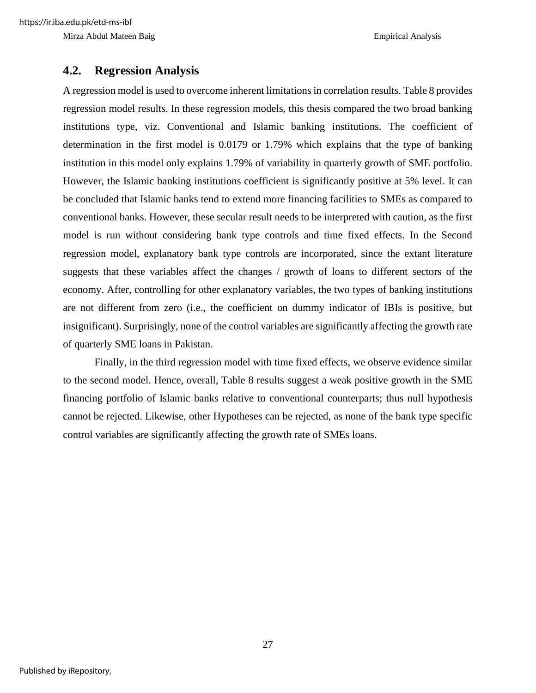#### **4.2. Regression Analysis**

A regression model is used to overcome inherent limitations in correlation results. Table 8 provides regression model results. In these regression models, this thesis compared the two broad banking institutions type, viz. Conventional and Islamic banking institutions. The coefficient of determination in the first model is 0.0179 or 1.79% which explains that the type of banking institution in this model only explains 1.79% of variability in quarterly growth of SME portfolio. However, the Islamic banking institutions coefficient is significantly positive at 5% level. It can be concluded that Islamic banks tend to extend more financing facilities to SMEs as compared to conventional banks. However, these secular result needs to be interpreted with caution, as the first model is run without considering bank type controls and time fixed effects. In the Second regression model, explanatory bank type controls are incorporated, since the extant literature suggests that these variables affect the changes / growth of loans to different sectors of the economy. After, controlling for other explanatory variables, the two types of banking institutions are not different from zero (i.e., the coefficient on dummy indicator of IBIs is positive, but insignificant). Surprisingly, none of the control variables are significantly affecting the growth rate of quarterly SME loans in Pakistan.

Finally, in the third regression model with time fixed effects, we observe evidence similar to the second model. Hence, overall, Table 8 results suggest a weak positive growth in the SME financing portfolio of Islamic banks relative to conventional counterparts; thus null hypothesis cannot be rejected. Likewise, other Hypotheses can be rejected, as none of the bank type specific control variables are significantly affecting the growth rate of SMEs loans.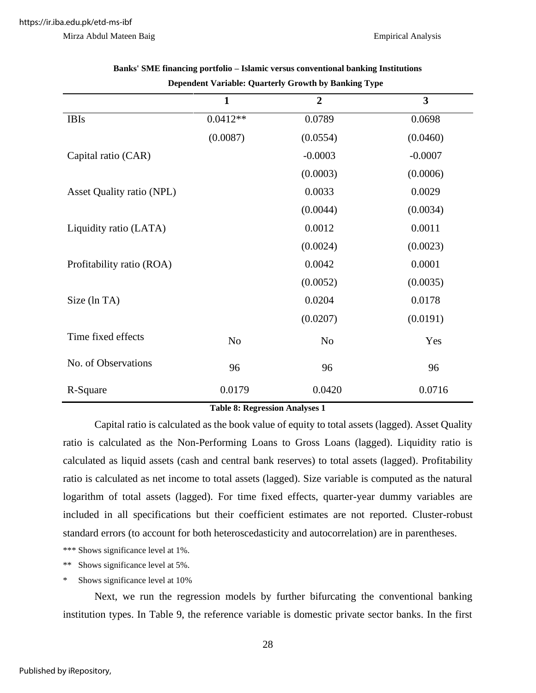|                           | $\mathbf{1}$   | $\overline{2}$ | $\overline{\mathbf{3}}$ |
|---------------------------|----------------|----------------|-------------------------|
| <b>IBIs</b>               | $0.0412**$     | 0.0789         | 0.0698                  |
|                           | (0.0087)       | (0.0554)       | (0.0460)                |
| Capital ratio (CAR)       |                | $-0.0003$      | $-0.0007$               |
|                           |                | (0.0003)       | (0.0006)                |
| Asset Quality ratio (NPL) |                | 0.0033         | 0.0029                  |
|                           |                | (0.0044)       | (0.0034)                |
| Liquidity ratio (LATA)    |                | 0.0012         | 0.0011                  |
|                           |                | (0.0024)       | (0.0023)                |
| Profitability ratio (ROA) |                | 0.0042         | 0.0001                  |
|                           |                | (0.0052)       | (0.0035)                |
| Size (ln TA)              |                | 0.0204         | 0.0178                  |
|                           |                | (0.0207)       | (0.0191)                |
| Time fixed effects        | N <sub>o</sub> | N <sub>o</sub> | Yes                     |
| No. of Observations       | 96             | 96             | 96                      |
| R-Square                  | 0.0179         | 0.0420         | 0.0716                  |

**Banks' SME financing portfolio – Islamic versus conventional banking Institutions Dependent Variable: Quarterly Growth by Banking Type**

**Table 8: Regression Analyses 1**

Capital ratio is calculated as the book value of equity to total assets (lagged). Asset Quality ratio is calculated as the Non-Performing Loans to Gross Loans (lagged). Liquidity ratio is calculated as liquid assets (cash and central bank reserves) to total assets (lagged). Profitability ratio is calculated as net income to total assets (lagged). Size variable is computed as the natural logarithm of total assets (lagged). For time fixed effects, quarter-year dummy variables are included in all specifications but their coefficient estimates are not reported. Cluster-robust standard errors (to account for both heteroscedasticity and autocorrelation) are in parentheses.

\*\*\* Shows significance level at 1%.

\*\* Shows significance level at 5%.

Shows significance level at 10%

Next, we run the regression models by further bifurcating the conventional banking institution types. In Table 9, the reference variable is domestic private sector banks. In the first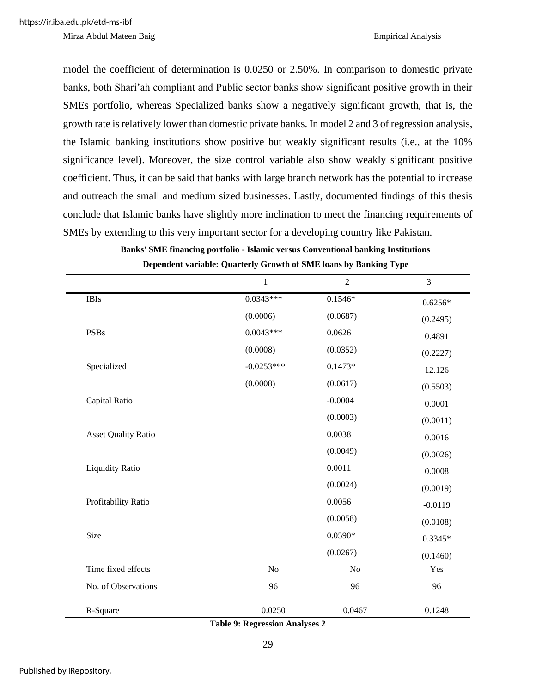model the coefficient of determination is 0.0250 or 2.50%. In comparison to domestic private banks, both Shari'ah compliant and Public sector banks show significant positive growth in their SMEs portfolio, whereas Specialized banks show a negatively significant growth, that is, the growth rate is relatively lower than domestic private banks. In model 2 and 3 of regression analysis, the Islamic banking institutions show positive but weakly significant results (i.e., at the 10% significance level). Moreover, the size control variable also show weakly significant positive coefficient. Thus, it can be said that banks with large branch network has the potential to increase and outreach the small and medium sized businesses. Lastly, documented findings of this thesis conclude that Islamic banks have slightly more inclination to meet the financing requirements of SMEs by extending to this very important sector for a developing country like Pakistan.

|                            | $\mathbf{1}$   | $\overline{2}$ | 3         |
|----------------------------|----------------|----------------|-----------|
| <b>IBIs</b>                | $0.0343***$    | $0.1546*$      | $0.6256*$ |
|                            | (0.0006)       | (0.0687)       | (0.2495)  |
| <b>PSBs</b>                | $0.0043***$    | 0.0626         | 0.4891    |
|                            | (0.0008)       | (0.0352)       | (0.2227)  |
| Specialized                | $-0.0253***$   | $0.1473*$      | 12.126    |
|                            | (0.0008)       | (0.0617)       | (0.5503)  |
| Capital Ratio              |                | $-0.0004$      | 0.0001    |
|                            |                | (0.0003)       | (0.0011)  |
| <b>Asset Quality Ratio</b> |                | 0.0038         | 0.0016    |
|                            |                | (0.0049)       | (0.0026)  |
| <b>Liquidity Ratio</b>     |                | 0.0011         | 0.0008    |
|                            |                | (0.0024)       | (0.0019)  |
| Profitability Ratio        |                | 0.0056         | $-0.0119$ |
|                            |                | (0.0058)       | (0.0108)  |
| Size                       |                | $0.0590*$      | $0.3345*$ |
|                            |                | (0.0267)       | (0.1460)  |
| Time fixed effects         | N <sub>o</sub> | No             | Yes       |
| No. of Observations        | 96             | 96             | 96        |
| R-Square                   | 0.0250         | 0.0467         | 0.1248    |

| Banks' SME financing portfolio - Islamic versus Conventional banking Institutions |  |
|-----------------------------------------------------------------------------------|--|
| Dependent variable: Quarterly Growth of SME loans by Banking Type                 |  |

**Table 9: Regression Analyses 2**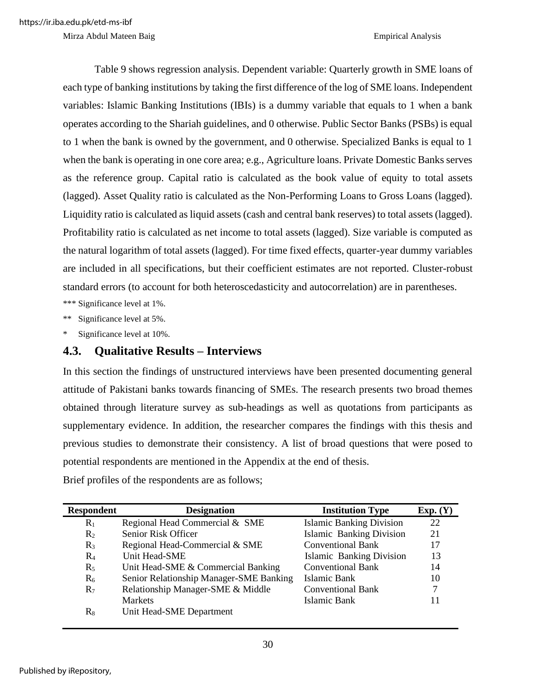Table 9 shows regression analysis. Dependent variable: Quarterly growth in SME loans of each type of banking institutions by taking the first difference of the log of SME loans. Independent variables: Islamic Banking Institutions (IBIs) is a dummy variable that equals to 1 when a bank operates according to the Shariah guidelines, and 0 otherwise. Public Sector Banks (PSBs) is equal to 1 when the bank is owned by the government, and 0 otherwise. Specialized Banks is equal to 1 when the bank is operating in one core area; e.g., Agriculture loans. Private Domestic Banks serves as the reference group. Capital ratio is calculated as the book value of equity to total assets (lagged). Asset Quality ratio is calculated as the Non-Performing Loans to Gross Loans (lagged). Liquidity ratio is calculated as liquid assets (cash and central bank reserves) to total assets (lagged). Profitability ratio is calculated as net income to total assets (lagged). Size variable is computed as the natural logarithm of total assets (lagged). For time fixed effects, quarter-year dummy variables are included in all specifications, but their coefficient estimates are not reported. Cluster-robust standard errors (to account for both heteroscedasticity and autocorrelation) are in parentheses.

\*\*\* Significance level at 1%.

\*\* Significance level at 5%.

Significance level at 10%.

#### **4.3. Qualitative Results – Interviews**

In this section the findings of unstructured interviews have been presented documenting general attitude of Pakistani banks towards financing of SMEs. The research presents two broad themes obtained through literature survey as sub-headings as well as quotations from participants as supplementary evidence. In addition, the researcher compares the findings with this thesis and previous studies to demonstrate their consistency. A list of broad questions that were posed to potential respondents are mentioned in the Appendix at the end of thesis.

Brief profiles of the respondents are as follows;

| <b>Respondent</b> | <b>Designation</b>                      | <b>Institution Type</b>         | Exp. (Y) |
|-------------------|-----------------------------------------|---------------------------------|----------|
| $R_1$             | Regional Head Commercial & SME          | <b>Islamic Banking Division</b> | 22       |
| R <sub>2</sub>    | Senior Risk Officer                     | <b>Islamic Banking Division</b> | 21       |
| $R_3$             | Regional Head-Commercial & SME          | <b>Conventional Bank</b>        | 17       |
| $R_4$             | Unit Head-SME                           | Islamic Banking Division        | 13       |
| $R_5$             | Unit Head-SME & Commercial Banking      | <b>Conventional Bank</b>        | 14       |
| $R_6$             | Senior Relationship Manager-SME Banking | Islamic Bank                    | 10       |
| $R_7$             | Relationship Manager-SME & Middle       | <b>Conventional Bank</b>        | 7        |
|                   | <b>Markets</b>                          | Islamic Bank                    | 11       |
| $R_8$             | Unit Head-SME Department                |                                 |          |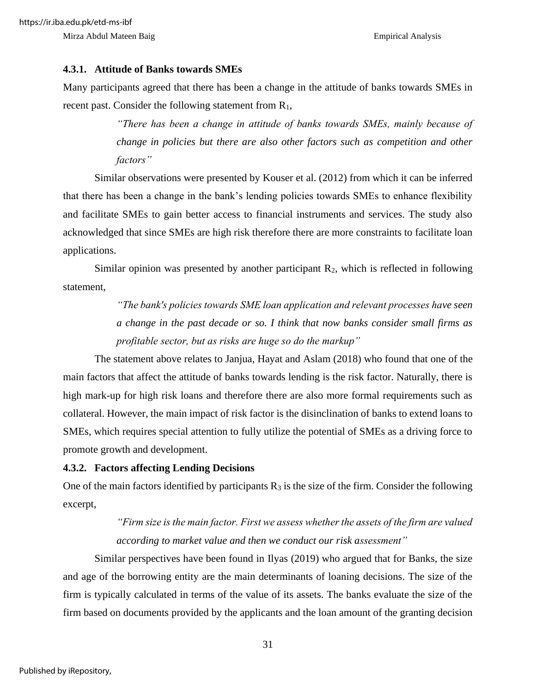#### **4.3.1. Attitude of Banks towards SMEs**

Many participants agreed that there has been a change in the attitude of banks towards SMEs in recent past. Consider the following statement from  $R_1$ ,

> *"There has been a change in attitude of banks towards SMEs, mainly because of change in policies but there are also other factors such as competition and other factors"*

Similar observations were presented by Kouser et al. (2012) from which it can be inferred that there has been a change in the bank's lending policies towards SMEs to enhance flexibility and facilitate SMEs to gain better access to financial instruments and services. The study also acknowledged that since SMEs are high risk therefore there are more constraints to facilitate loan applications.

Similar opinion was presented by another participant  $R_2$ , which is reflected in following statement,

> *"The bank's policies towards SME loan application and relevant processes have seen a change in the past decade or so. I think that now banks consider small firms as profitable sector, but as risks are huge so do the markup"*

The statement above relates to Janjua, Hayat and Aslam (2018) who found that one of the main factors that affect the attitude of banks towards lending is the risk factor. Naturally, there is high mark-up for high risk loans and therefore there are also more formal requirements such as collateral. However, the main impact of risk factor is the disinclination of banks to extend loans to SMEs, which requires special attention to fully utilize the potential of SMEs as a driving force to promote growth and development.

#### **4.3.2. Factors affecting Lending Decisions**

One of the main factors identified by participants  $R_3$  is the size of the firm. Consider the following excerpt,

> *"Firm size is the main factor. First we assess whether the assets of the firm are valued according to market value and then we conduct our risk assessment"*

Similar perspectives have been found in Ilyas (2019) who argued that for Banks, the size and age of the borrowing entity are the main determinants of loaning decisions. The size of the firm is typically calculated in terms of the value of its assets. The banks evaluate the size of the firm based on documents provided by the applicants and the loan amount of the granting decision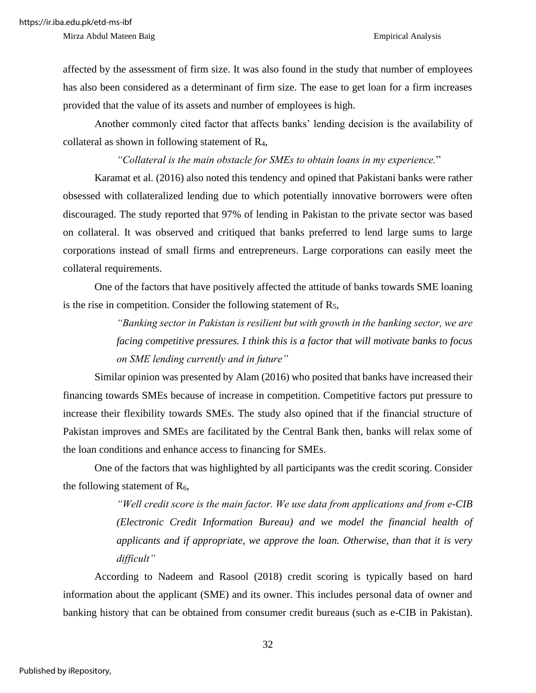affected by the assessment of firm size. It was also found in the study that number of employees has also been considered as a determinant of firm size. The ease to get loan for a firm increases provided that the value of its assets and number of employees is high.

Another commonly cited factor that affects banks' lending decision is the availability of collateral as shown in following statement of R4,

*"Collateral is the main obstacle for SMEs to obtain loans in my experience.*"

Karamat et al. (2016) also noted this tendency and opined that Pakistani banks were rather obsessed with collateralized lending due to which potentially innovative borrowers were often discouraged. The study reported that 97% of lending in Pakistan to the private sector was based on collateral. It was observed and critiqued that banks preferred to lend large sums to large corporations instead of small firms and entrepreneurs. Large corporations can easily meet the collateral requirements.

One of the factors that have positively affected the attitude of banks towards SME loaning is the rise in competition. Consider the following statement of  $R_5$ ,

> *"Banking sector in Pakistan is resilient but with growth in the banking sector, we are facing competitive pressures. I think this is a factor that will motivate banks to focus on SME lending currently and in future"*

Similar opinion was presented by Alam (2016) who posited that banks have increased their financing towards SMEs because of increase in competition. Competitive factors put pressure to increase their flexibility towards SMEs. The study also opined that if the financial structure of Pakistan improves and SMEs are facilitated by the Central Bank then, banks will relax some of the loan conditions and enhance access to financing for SMEs.

One of the factors that was highlighted by all participants was the credit scoring. Consider the following statement of  $R_6$ ,

> *"Well credit score is the main factor. We use data from applications and from e-CIB (Electronic Credit Information Bureau) and we model the financial health of applicants and if appropriate, we approve the loan. Otherwise, than that it is very difficult"*

According to Nadeem and Rasool (2018) credit scoring is typically based on hard information about the applicant (SME) and its owner. This includes personal data of owner and banking history that can be obtained from consumer credit bureaus (such as e-CIB in Pakistan).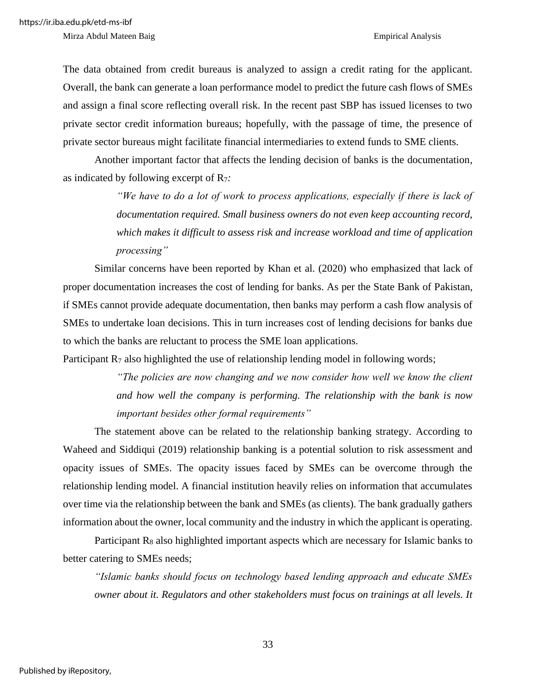The data obtained from credit bureaus is analyzed to assign a credit rating for the applicant. Overall, the bank can generate a loan performance model to predict the future cash flows of SMEs and assign a final score reflecting overall risk. In the recent past SBP has issued licenses to two private sector credit information bureaus; hopefully, with the passage of time, the presence of private sector bureaus might facilitate financial intermediaries to extend funds to SME clients.

Another important factor that affects the lending decision of banks is the documentation, as indicated by following excerpt of R7*:*

> *"We have to do a lot of work to process applications, especially if there is lack of documentation required. Small business owners do not even keep accounting record, which makes it difficult to assess risk and increase workload and time of application processing"*

Similar concerns have been reported by Khan et al. (2020) who emphasized that lack of proper documentation increases the cost of lending for banks. As per the State Bank of Pakistan, if SMEs cannot provide adequate documentation, then banks may perform a cash flow analysis of SMEs to undertake loan decisions. This in turn increases cost of lending decisions for banks due to which the banks are reluctant to process the SME loan applications.

Participant  $R_7$  also highlighted the use of relationship lending model in following words;

*"The policies are now changing and we now consider how well we know the client and how well the company is performing. The relationship with the bank is now important besides other formal requirements"*

The statement above can be related to the relationship banking strategy. According to Waheed and Siddiqui (2019) relationship banking is a potential solution to risk assessment and opacity issues of SMEs. The opacity issues faced by SMEs can be overcome through the relationship lending model. A financial institution heavily relies on information that accumulates over time via the relationship between the bank and SMEs (as clients). The bank gradually gathers information about the owner, local community and the industry in which the applicant is operating.

Participant  $R_8$  also highlighted important aspects which are necessary for Islamic banks to better catering to SMEs needs;

*"Islamic banks should focus on technology based lending approach and educate SMEs owner about it. Regulators and other stakeholders must focus on trainings at all levels. It*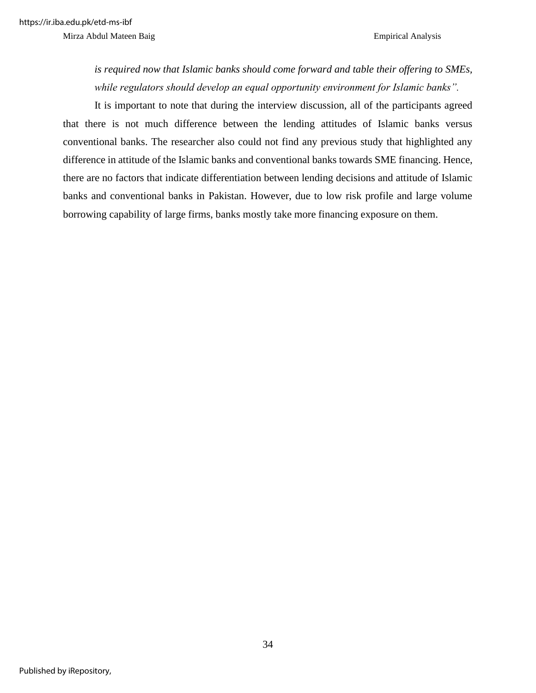*is required now that Islamic banks should come forward and table their offering to SMEs, while regulators should develop an equal opportunity environment for Islamic banks".*

It is important to note that during the interview discussion, all of the participants agreed that there is not much difference between the lending attitudes of Islamic banks versus conventional banks. The researcher also could not find any previous study that highlighted any difference in attitude of the Islamic banks and conventional banks towards SME financing. Hence, there are no factors that indicate differentiation between lending decisions and attitude of Islamic banks and conventional banks in Pakistan. However, due to low risk profile and large volume borrowing capability of large firms, banks mostly take more financing exposure on them.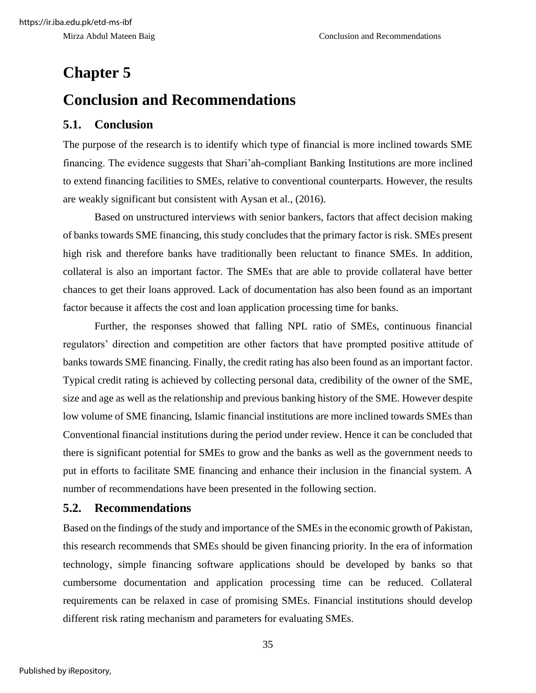### **Chapter 5**

### **Conclusion and Recommendations**

#### **5.1. Conclusion**

The purpose of the research is to identify which type of financial is more inclined towards SME financing. The evidence suggests that Shari'ah-compliant Banking Institutions are more inclined to extend financing facilities to SMEs, relative to conventional counterparts. However, the results are weakly significant but consistent with Aysan et al., (2016).

Based on unstructured interviews with senior bankers, factors that affect decision making of banks towards SME financing, this study concludes that the primary factor is risk. SMEs present high risk and therefore banks have traditionally been reluctant to finance SMEs. In addition, collateral is also an important factor. The SMEs that are able to provide collateral have better chances to get their loans approved. Lack of documentation has also been found as an important factor because it affects the cost and loan application processing time for banks.

Further, the responses showed that falling NPL ratio of SMEs, continuous financial regulators' direction and competition are other factors that have prompted positive attitude of banks towards SME financing. Finally, the credit rating has also been found as an important factor. Typical credit rating is achieved by collecting personal data, credibility of the owner of the SME, size and age as well as the relationship and previous banking history of the SME. However despite low volume of SME financing, Islamic financial institutions are more inclined towards SMEs than Conventional financial institutions during the period under review. Hence it can be concluded that there is significant potential for SMEs to grow and the banks as well as the government needs to put in efforts to facilitate SME financing and enhance their inclusion in the financial system. A number of recommendations have been presented in the following section.

#### **5.2. Recommendations**

Based on the findings of the study and importance of the SMEs in the economic growth of Pakistan, this research recommends that SMEs should be given financing priority. In the era of information technology, simple financing software applications should be developed by banks so that cumbersome documentation and application processing time can be reduced. Collateral requirements can be relaxed in case of promising SMEs. Financial institutions should develop different risk rating mechanism and parameters for evaluating SMEs.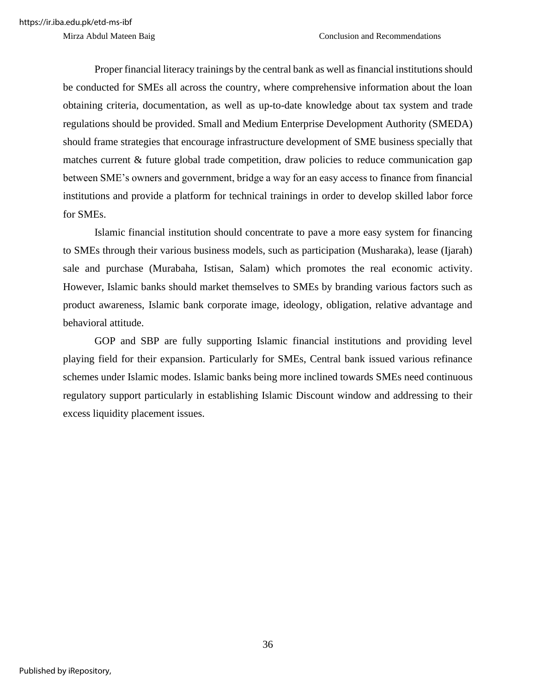Proper financial literacy trainings by the central bank as well as financial institutions should be conducted for SMEs all across the country, where comprehensive information about the loan obtaining criteria, documentation, as well as up-to-date knowledge about tax system and trade regulations should be provided. Small and Medium Enterprise Development Authority (SMEDA) should frame strategies that encourage infrastructure development of SME business specially that matches current & future global trade competition, draw policies to reduce communication gap between SME's owners and government, bridge a way for an easy access to finance from financial institutions and provide a platform for technical trainings in order to develop skilled labor force for SMEs.

Islamic financial institution should concentrate to pave a more easy system for financing to SMEs through their various business models, such as participation (Musharaka), lease (Ijarah) sale and purchase (Murabaha, Istisan, Salam) which promotes the real economic activity. However, Islamic banks should market themselves to SMEs by branding various factors such as product awareness, Islamic bank corporate image, ideology, obligation, relative advantage and behavioral attitude.

GOP and SBP are fully supporting Islamic financial institutions and providing level playing field for their expansion. Particularly for SMEs, Central bank issued various refinance schemes under Islamic modes. Islamic banks being more inclined towards SMEs need continuous regulatory support particularly in establishing Islamic Discount window and addressing to their excess liquidity placement issues.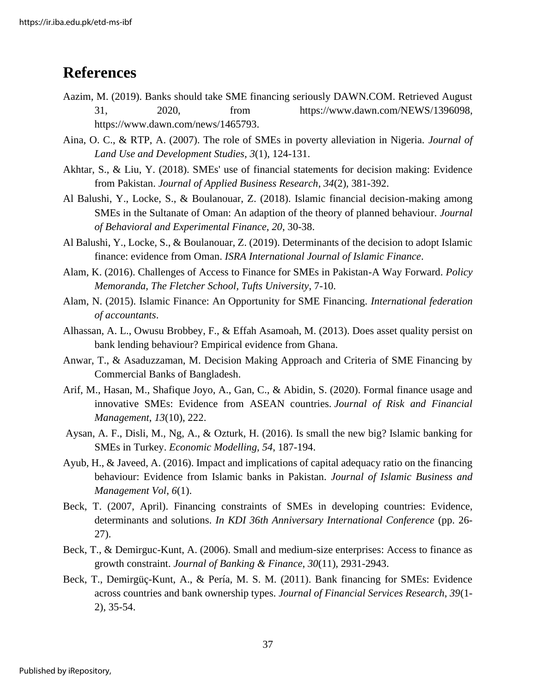### **References**

- Aazim, M. (2019). Banks should take SME financing seriously DAWN.COM. Retrieved August 31, 2020, from [https://www.dawn.com/NEWS/1396098,](https://www.dawn.com/NEWS/1396098) [https://www.dawn.com/news/1465793.](https://www.dawn.com/news/1465793)
- Aina, O. C., & RTP, A. (2007). The role of SMEs in poverty alleviation in Nigeria. *Journal of Land Use and Development Studies*, *3*(1), 124-131.
- Akhtar, S., & Liu, Y. (2018). SMEs' use of financial statements for decision making: Evidence from Pakistan. *Journal of Applied Business Research*, *34*(2), 381-392.
- Al Balushi, Y., Locke, S., & Boulanouar, Z. (2018). Islamic financial decision-making among SMEs in the Sultanate of Oman: An adaption of the theory of planned behaviour. *Journal of Behavioral and Experimental Finance*, *20*, 30-38.
- Al Balushi, Y., Locke, S., & Boulanouar, Z. (2019). Determinants of the decision to adopt Islamic finance: evidence from Oman. *ISRA International Journal of Islamic Finance*.
- Alam, K. (2016). Challenges of Access to Finance for SMEs in Pakistan-A Way Forward. *Policy Memoranda, The Fletcher School, Tufts University*, 7-10.
- [Alam,](https://www.ifac.org/who-we-are/leadership/nafis-alam) N. (2015). Islamic Finance: An Opportunity for SME Financing. *International federation of accountants*.
- Alhassan, A. L., Owusu Brobbey, F., & Effah Asamoah, M. (2013). Does asset quality persist on bank lending behaviour? Empirical evidence from Ghana.
- Anwar, T., & Asaduzzaman, M. Decision Making Approach and Criteria of SME Financing by Commercial Banks of Bangladesh.
- Arif, M., Hasan, M., Shafique Joyo, A., Gan, C., & Abidin, S. (2020). Formal finance usage and innovative SMEs: Evidence from ASEAN countries. *Journal of Risk and Financial Management*, *13*(10), 222.
- Aysan, A. F., Disli, M., Ng, A., & Ozturk, H. (2016). Is small the new big? Islamic banking for SMEs in Turkey. *Economic Modelling*, *54*, 187-194.
- Ayub, H., & Javeed, A. (2016). Impact and implications of capital adequacy ratio on the financing behaviour: Evidence from Islamic banks in Pakistan. *Journal of Islamic Business and Management Vol*, *6*(1).
- Beck, T. (2007, April). Financing constraints of SMEs in developing countries: Evidence, determinants and solutions. *In KDI 36th Anniversary International Conference* (pp. 26- 27).
- Beck, T., & Demirguc-Kunt, A. (2006). Small and medium-size enterprises: Access to finance as growth constraint. *Journal of Banking & Finance*, *30*(11), 2931-2943.
- Beck, T., Demirgüç-Kunt, A., & Pería, M. S. M. (2011). Bank financing for SMEs: Evidence across countries and bank ownership types. *Journal of Financial Services Research*, *39*(1- 2), 35-54.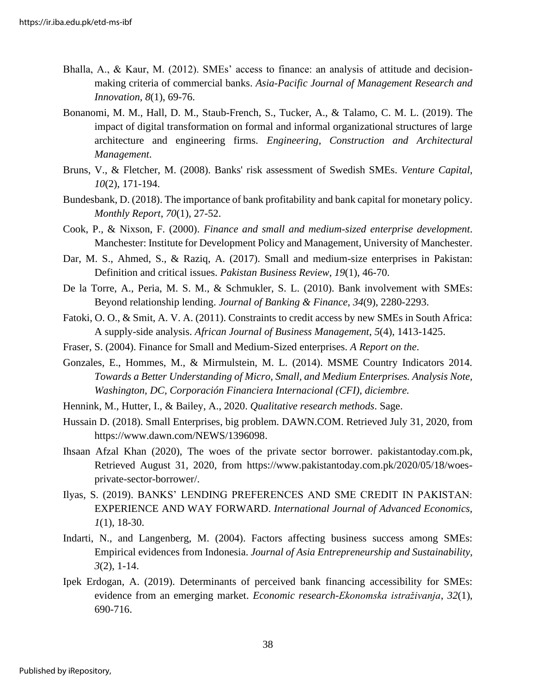- Bhalla, A., & Kaur, M. (2012). SMEs' access to finance: an analysis of attitude and decisionmaking criteria of commercial banks. *Asia-Pacific Journal of Management Research and Innovation*, *8*(1), 69-76.
- Bonanomi, M. M., Hall, D. M., Staub-French, S., Tucker, A., & Talamo, C. M. L. (2019). The impact of digital transformation on formal and informal organizational structures of large architecture and engineering firms. *Engineering, Construction and Architectural Management*.
- Bruns, V., & Fletcher, M. (2008). Banks' risk assessment of Swedish SMEs. *Venture Capital*, *10*(2), 171-194.
- Bundesbank, D. (2018). The importance of bank profitability and bank capital for monetary policy. *Monthly Report*, *70*(1), 27-52.
- Cook, P., & Nixson, F. (2000). *Finance and small and medium-sized enterprise development*. Manchester: Institute for Development Policy and Management, University of Manchester.
- Dar, M. S., Ahmed, S., & Raziq, A. (2017). Small and medium-size enterprises in Pakistan: Definition and critical issues. *Pakistan Business Review*, *19*(1), 46-70.
- De la Torre, A., Peria, M. S. M., & Schmukler, S. L. (2010). Bank involvement with SMEs: Beyond relationship lending. *Journal of Banking & Finance*, *34*(9), 2280-2293.
- Fatoki, O. O., & Smit, A. V. A. (2011). Constraints to credit access by new SMEs in South Africa: A supply-side analysis. *African Journal of Business Management*, *5*(4), 1413-1425.
- Fraser, S. (2004). Finance for Small and Medium-Sized enterprises. *A Report on the*.
- Gonzales, E., Hommes, M., & Mirmulstein, M. L. (2014). MSME Country Indicators 2014. *Towards a Better Understanding of Micro, Small, and Medium Enterprises. Analysis Note, Washington, DC, Corporación Financiera Internacional (CFI), diciembre.*
- Hennink, M., Hutter, I., & Bailey, A., 2020. *Qualitative research methods*. Sage.
- Hussain D. (2018). Small Enterprises, big problem. DAWN.COM. Retrieved July 31, 2020, from [https://www.dawn.com/NEWS/1396098.](https://www.dawn.com/NEWS/1396098)
- [Ihsaan Afzal Khan](https://www.pakistantoday.com.pk/author/ihsaanafzalkhan/) (2020), The woes of the private sector borrower. pakistantoday.com.pk, Retrieved August 31, 2020, from https://www.pakistantoday.com.pk/2020/05/18/woesprivate-sector-borrower/.
- Ilyas, S. (2019). BANKS' LENDING PREFERENCES AND SME CREDIT IN PAKISTAN: EXPERIENCE AND WAY FORWARD. *International Journal of Advanced Economics, 1*(1), 18-30.
- Indarti, N., and Langenberg, M. (2004). Factors affecting business success among SMEs: Empirical evidences from Indonesia. *Journal of Asia Entrepreneurship and Sustainability*, *3*(2), 1-14.
- Ipek Erdogan, A. (2019). Determinants of perceived bank financing accessibility for SMEs: evidence from an emerging market. *Economic research-Ekonomska istraživanja*, *32*(1), 690-716.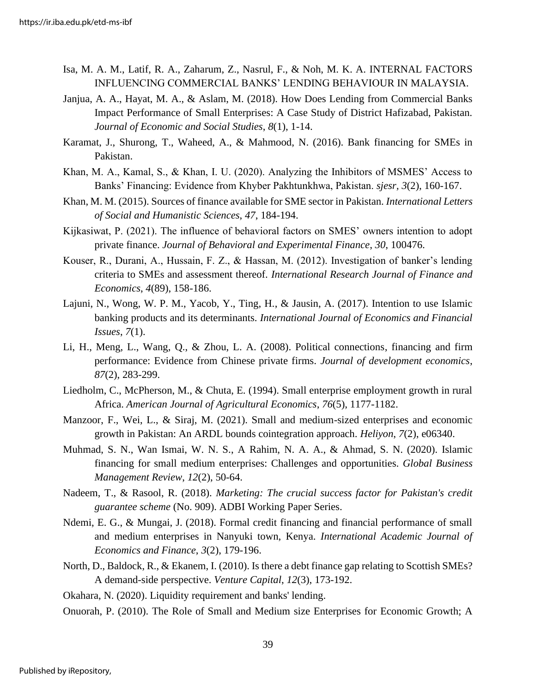- Isa, M. A. M., Latif, R. A., Zaharum, Z., Nasrul, F., & Noh, M. K. A. INTERNAL FACTORS INFLUENCING COMMERCIAL BANKS' LENDING BEHAVIOUR IN MALAYSIA.
- Janjua, A. A., Hayat, M. A., & Aslam, M. (2018). How Does Lending from Commercial Banks Impact Performance of Small Enterprises: A Case Study of District Hafizabad, Pakistan. *Journal of Economic and Social Studies*, *8*(1), 1-14.
- Karamat, J., Shurong, T., Waheed, A., & Mahmood, N. (2016). Bank financing for SMEs in Pakistan.
- Khan, M. A., Kamal, S., & Khan, I. U. (2020). Analyzing the Inhibitors of MSMES' Access to Banks' Financing: Evidence from Khyber Pakhtunkhwa, Pakistan. *sjesr, 3*(2), 160-167.
- Khan, M. M. (2015). Sources of finance available for SME sector in Pakistan. *International Letters of Social and Humanistic Sciences*, *47*, 184-194.
- Kijkasiwat, P. (2021). The influence of behavioral factors on SMES' owners intention to adopt private finance. *Journal of Behavioral and Experimental Finance*, *30*, 100476.
- Kouser, R., Durani, A., Hussain, F. Z., & Hassan, M. (2012). Investigation of banker's lending criteria to SMEs and assessment thereof. *International Research Journal of Finance and Economics*, *4*(89), 158-186.
- Lajuni, N., Wong, W. P. M., Yacob, Y., Ting, H., & Jausin, A. (2017). Intention to use Islamic banking products and its determinants. *International Journal of Economics and Financial Issues*, *7*(1).
- Li, H., Meng, L., Wang, Q., & Zhou, L. A. (2008). Political connections, financing and firm performance: Evidence from Chinese private firms. *Journal of development economics*, *87*(2), 283-299.
- Liedholm, C., McPherson, M., & Chuta, E. (1994). Small enterprise employment growth in rural Africa. *American Journal of Agricultural Economics*, *76*(5), 1177-1182.
- Manzoor, F., Wei, L., & Siraj, M. (2021). Small and medium-sized enterprises and economic growth in Pakistan: An ARDL bounds cointegration approach. *Heliyon*, *7*(2), e06340.
- Muhmad, S. N., Wan Ismai, W. N. S., A Rahim, N. A. A., & Ahmad, S. N. (2020). Islamic financing for small medium enterprises: Challenges and opportunities. *Global Business Management Review*, *12*(2), 50-64.
- Nadeem, T., & Rasool, R. (2018). *Marketing: The crucial success factor for Pakistan's credit guarantee scheme* (No. 909). ADBI Working Paper Series.
- Ndemi, E. G., & Mungai, J. (2018). Formal credit financing and financial performance of small and medium enterprises in Nanyuki town, Kenya. *International Academic Journal of Economics and Finance*, *3*(2), 179-196.
- North, D., Baldock, R., & Ekanem, I. (2010). Is there a debt finance gap relating to Scottish SMEs? A demand-side perspective. *Venture Capital*, *12*(3), 173-192.
- Okahara, N. (2020). Liquidity requirement and banks' lending.
- Onuorah, P. (2010). The Role of Small and Medium size Enterprises for Economic Growth; A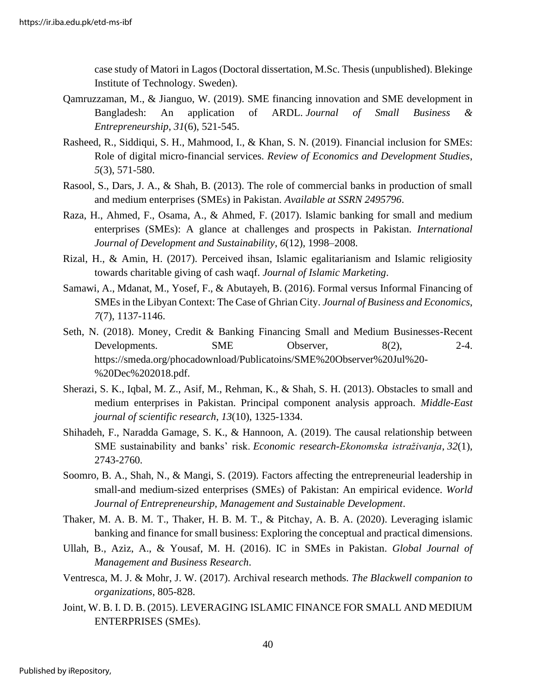case study of Matori in Lagos (Doctoral dissertation, M.Sc. Thesis (unpublished). Blekinge Institute of Technology. Sweden).

- Qamruzzaman, M., & Jianguo, W. (2019). SME financing innovation and SME development in Bangladesh: An application of ARDL. *Journal of Small Business & Entrepreneurship*, *31*(6), 521-545.
- Rasheed, R., Siddiqui, S. H., Mahmood, I., & Khan, S. N. (2019). Financial inclusion for SMEs: Role of digital micro-financial services. *Review of Economics and Development Studies*, *5*(3), 571-580.
- Rasool, S., Dars, J. A., & Shah, B. (2013). The role of commercial banks in production of small and medium enterprises (SMEs) in Pakistan. *Available at SSRN 2495796*.
- Raza, H., Ahmed, F., Osama, A., & Ahmed, F. (2017). Islamic banking for small and medium enterprises (SMEs): A glance at challenges and prospects in Pakistan. *International Journal of Development and Sustainability*, *6*(12), 1998–2008.
- Rizal, H., & Amin, H. (2017). Perceived ihsan, Islamic egalitarianism and Islamic religiosity towards charitable giving of cash waqf. *Journal of Islamic Marketing*.
- Samawi, A., Mdanat, M., Yosef, F., & Abutayeh, B. (2016). Formal versus Informal Financing of SMEs in the Libyan Context: The Case of Ghrian City. *Journal of Business and Economics*, *7*(7), 1137-1146.
- Seth, N. (2018). Money, Credit & Banking Financing Small and Medium Businesses-Recent Developments. SME Observer, 8(2), 2-4. https://smeda.org/phocadownload/Publicatoins/SME%20Observer%20Jul%20- %20Dec%202018.pdf.
- Sherazi, S. K., Iqbal, M. Z., Asif, M., Rehman, K., & Shah, S. H. (2013). Obstacles to small and medium enterprises in Pakistan. Principal component analysis approach. *Middle-East journal of scientific research*, *13*(10), 1325-1334.
- Shihadeh, F., Naradda Gamage, S. K., & Hannoon, A. (2019). The causal relationship between SME sustainability and banks' risk. *Economic research-Ekonomska istraživanja*, *32*(1), 2743-2760.
- Soomro, B. A., Shah, N., & Mangi, S. (2019). Factors affecting the entrepreneurial leadership in small-and medium-sized enterprises (SMEs) of Pakistan: An empirical evidence. *World Journal of Entrepreneurship, Management and Sustainable Development*.
- Thaker, M. A. B. M. T., Thaker, H. B. M. T., & Pitchay, A. B. A. (2020). Leveraging islamic banking and finance for small business: Exploring the conceptual and practical dimensions.
- Ullah, B., Aziz, A., & Yousaf, M. H. (2016). IC in SMEs in Pakistan. *Global Journal of Management and Business Research*.
- Ventresca, M. J. & Mohr, J. W. (2017). Archival research methods. *The Blackwell companion to organizations*, 805-828.
- Joint, W. B. I. D. B. (2015). LEVERAGING ISLAMIC FINANCE FOR SMALL AND MEDIUM ENTERPRISES (SMEs).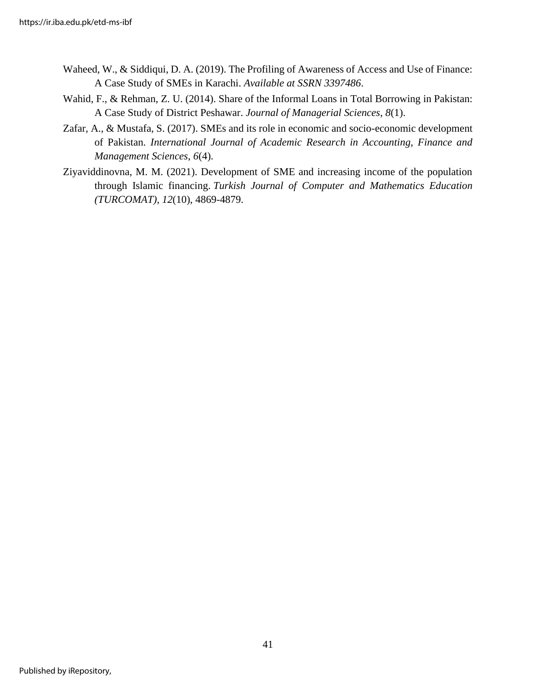- Waheed, W., & Siddiqui, D. A. (2019). The Profiling of Awareness of Access and Use of Finance: A Case Study of SMEs in Karachi. *Available at SSRN 3397486*.
- Wahid, F., & Rehman, Z. U. (2014). Share of the Informal Loans in Total Borrowing in Pakistan: A Case Study of District Peshawar. *Journal of Managerial Sciences*, *8*(1).
- Zafar, A., & Mustafa, S. (2017). SMEs and its role in economic and socio-economic development of Pakistan. *International Journal of Academic Research in Accounting, Finance and Management Sciences*, *6*(4).
- Ziyaviddinovna, M. M. (2021). Development of SME and increasing income of the population through Islamic financing. *Turkish Journal of Computer and Mathematics Education (TURCOMAT)*, *12*(10), 4869-4879.